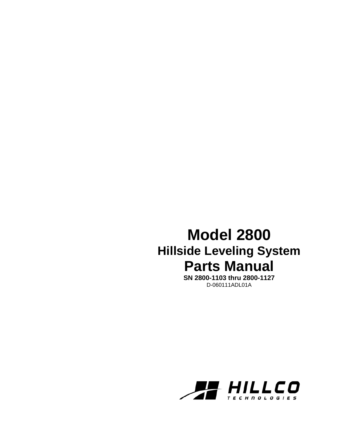## **Model 2800 Hillside Leveling System Parts Manual**

**SN 2800-1103 thru 2800-1127**  D-060111ADL01A

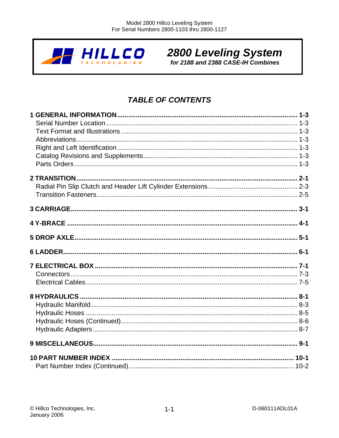

# 2800 Leveling System

## **TABLE OF CONTENTS**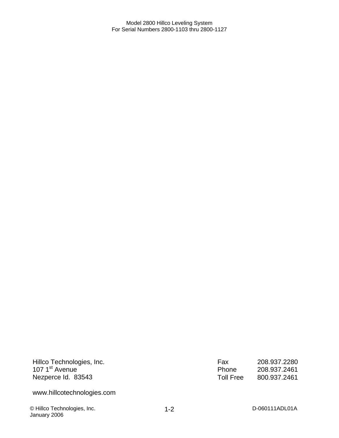Hillco Technologies, Inc. 107 1<sup>st</sup> Avenue Nezperce Id. 83543

www.hillcotechnologies.com

© Hillco Technologies, Inc. D-060111ADL01A January 2006

Fax 208.937.2280<br>Phone 208.937.2461 Phone 208.937.2461<br>Toll Free 800.937.2461 800.937.2461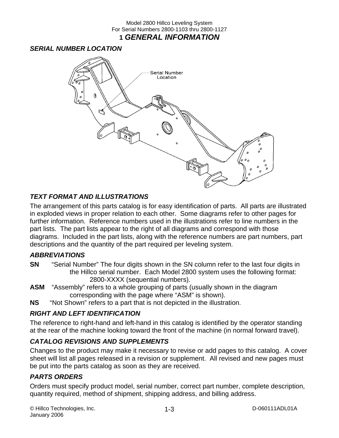Model 2800 Hillco Leveling System For Serial Numbers 2800-1103 thru 2800-1127 **1** *GENERAL INFORMATION* 

#### *SERIAL NUMBER LOCATION*



#### *TEXT FORMAT AND ILLUSTRATIONS*

The arrangement of this parts catalog is for easy identification of parts. All parts are illustrated in exploded views in proper relation to each other. Some diagrams refer to other pages for further information. Reference numbers used in the illustrations refer to line numbers in the part lists. The part lists appear to the right of all diagrams and correspond with those diagrams. Included in the part lists, along with the reference numbers are part numbers, part descriptions and the quantity of the part required per leveling system.

#### *ABBREVIATIONS*

- **SN** "Serial Number" The four digits shown in the SN column refer to the last four digits in the Hillco serial number. Each Model 2800 system uses the following format: 2800-XXXX (sequential numbers).
- **ASM** "Assembly" refers to a whole grouping of parts (usually shown in the diagram corresponding with the page where "ASM" is shown).
- **NS** "Not Shown" refers to a part that is not depicted in the illustration.

#### *RIGHT AND LEFT IDENTIFICATION*

The reference to right-hand and left-hand in this catalog is identified by the operator standing at the rear of the machine looking toward the front of the machine (in normal forward travel).

#### *CATALOG REVISIONS AND SUPPLEMENTS*

Changes to the product may make it necessary to revise or add pages to this catalog. A cover sheet will list all pages released in a revision or supplement. All revised and new pages must be put into the parts catalog as soon as they are received.

#### *PARTS ORDERS*

Orders must specify product model, serial number, correct part number, complete description, quantity required, method of shipment, shipping address, and billing address.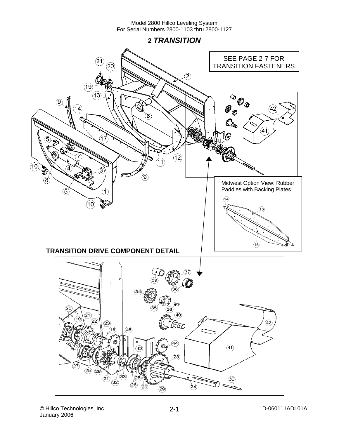**2** *TRANSITION* 

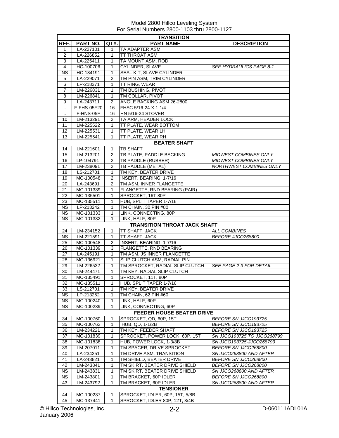|                      | <b>TRANSITION</b>                |                |                                                     |                                |  |  |
|----------------------|----------------------------------|----------------|-----------------------------------------------------|--------------------------------|--|--|
| REF.                 | <b>PART NO.</b>                  | QTY.           | <b>PART NAME</b>                                    | <b>DESCRIPTION</b>             |  |  |
| $\mathbf{1}$         | LA-227101                        | 1              | TA ADAPTER ASM                                      |                                |  |  |
| $\overline{2}$       | LA-226852                        | 1              | <b>TT THROAT ASM</b>                                |                                |  |  |
| 3                    | LA-225411                        | 1              | TA MOUNT ASM, ROD                                   |                                |  |  |
| 4                    | HC-100706                        | 1              | CYLINDER, SLAVE                                     | <i>SEE HYDRAULICS PAGE 8-1</i> |  |  |
| <b>NS</b>            | HC-134191                        | 1              | SEAL KIT, SLAVE CYLINDER                            |                                |  |  |
|                      |                                  | 2              | TM PIN ASM, TRIM CYLINDER                           |                                |  |  |
| 5<br>6               | LA-229071                        | 1              | TT RING, WEAR                                       |                                |  |  |
|                      | LP-218371                        |                |                                                     |                                |  |  |
| 7                    | LM-226831                        | 1              | TM BUSHING, PIVOT                                   |                                |  |  |
| 8                    | LM-226841                        | 1              | TM COLLAR, PIVOT                                    |                                |  |  |
| 9                    | LA-243711                        | 2              | ANGLE BACKING ASM 26-2800                           |                                |  |  |
| $\ddot{\phantom{a}}$ | F-FHS-05F20                      | 16             | FHSC 5/16-24 X 1-1/4                                |                                |  |  |
| $\ddot{\phantom{a}}$ | F-HNS-05F                        | 16             | <b>HN 5/16-24 STOVER</b>                            |                                |  |  |
| 10                   | LM-213291                        | $\overline{2}$ | TA ARM, HEADER LOCK                                 |                                |  |  |
| 11                   | LM-225522                        | 1              | TT PLATE, WEAR BOTTOM                               |                                |  |  |
| 12 <sup>2</sup>      | LM-225531                        | 1              | TT PLATE, WEAR LH                                   |                                |  |  |
| 13                   | LM-225541                        | 1              | TT PLATE, WEAR RH                                   |                                |  |  |
|                      |                                  |                | <b>BEATER SHAFT</b>                                 |                                |  |  |
| 14                   | LM-221601                        | 1              | <b>TB SHAFT</b>                                     |                                |  |  |
| 15                   | LM-213201                        | 2              | TB PLATE, PADDLE BACKING                            | MIDWEST COMBINES ONLY          |  |  |
| 16                   | LP-104791                        | $\overline{2}$ | <b>TB PADDLE (RUBBER)</b>                           | <b>MIDWEST COMBINES ONLY</b>   |  |  |
| 17                   | LM-238091                        | 2              | <b>TB PADDLE (METAL)</b>                            | NORTHWEST COMBINES ONLY        |  |  |
| 18                   | LS-212701                        | 1              | TM KEY, BEATER DRIVE                                |                                |  |  |
|                      |                                  |                |                                                     |                                |  |  |
| 19                   | MC-100548                        | 2              | INSERT, BEARING, 1-7/16                             |                                |  |  |
| 20                   | LA-243691                        | $\overline{c}$ | TM ASM, INNER FLANGETTE                             |                                |  |  |
| 21                   | MC-101339                        | 1              | FLANGETTE, RND BEARING (PAIR)                       |                                |  |  |
| 22                   | MC-135501                        | 1              | SPROCKET, 16T 80P                                   |                                |  |  |
| 23                   | MC-135511                        | 1              | HUB, SPLIT TAPER 1-7/16                             |                                |  |  |
| <b>NS</b>            | LP-213242                        | 1              | TM CHAIN, 30 PIN #80                                |                                |  |  |
| NS.                  | MC-101333                        | 1              | LINK, CONNECTING, 80P                               |                                |  |  |
| <b>NS</b>            | MC-101332                        | 1              | LINK, HALF, 80P                                     |                                |  |  |
|                      |                                  |                | <b>TRANSITION THROAT JACK SHAFT</b>                 |                                |  |  |
| 24                   | LM-234152                        | 1              | TT SHAFT, JACK                                      | <b>ALL COMBINES</b>            |  |  |
| NS.                  | LM-221591                        | $\mathbf{1}$   | <b>TT SHAFT, JACK</b>                               | BEFORE JJCO268800              |  |  |
| 25                   | MC-100548                        | 2              | INSERT, BEARING, 1-7/16                             |                                |  |  |
| 26                   | MC-101339                        | 3              | FLANGETTE, RND BEARING                              |                                |  |  |
| 27                   | LA-245191                        | 1              | TM ASM, JS INNER FLANGETTE                          |                                |  |  |
| 28                   | MC-136921                        | 1              | SLIP CLUTCH ASM, RADIAL PIN                         |                                |  |  |
| 29                   | LM-226532                        | 1              | TM SPROCKET, RADIAL SLIP CLUTCH                     | <b>SEE PAGE 2-3 FOR DETAIL</b> |  |  |
|                      | LM-244471                        |                |                                                     |                                |  |  |
| 30                   |                                  | 1              | TM KEY, RADIAL SLIP CLUTCH                          |                                |  |  |
| 31                   | MC-135491                        | 1              | SPROCKET, 11T, 80P                                  |                                |  |  |
| 32                   | MC-135511                        | 1              | HUB, SPLIT TAPER 1-7/16                             |                                |  |  |
| 33                   | LS-212701                        | 1              | TM KEY, BEATER DRIVE                                |                                |  |  |
| NS.                  | LP-213252                        | 1              | TM CHAIN, 62 PIN #60                                |                                |  |  |
| <b>NS</b>            | MC-100240                        | 1              | LINK, HALF, 60P                                     |                                |  |  |
| <b>NS</b>            | MC-100239                        | 1              | LINK, CONNECTING, 60P                               |                                |  |  |
|                      | <b>FEEDER HOUSE BEATER DRIVE</b> |                |                                                     |                                |  |  |
| 34                   | MC-100760                        | 1              | SPROCKET, QD, 60P, 15T                              | BEFORE SN JJCO193725           |  |  |
| 35                   | MC-100762                        | 1              | HUB, QD, 1-1/2B                                     | BEFORE SN JJCO193725           |  |  |
| 36                   | LM-234221                        | 1              | TM KEY, FEEDER SHAFT                                | BEFORE SN JJC0193725           |  |  |
| 37                   | MC-101839                        | 1              | SPROCKET, POWER LOCK, 60P, 15T                      | SN JJCO193725 TO JJCO268799    |  |  |
| 38                   | MC-101838                        | 1              | HUB, POWER LOCK, 1-3/8B                             | SN JJCO193725-JJCO268799       |  |  |
| 39                   | LM-207011                        | 1              | TM SPACER, DRIVE SPROCKET                           | BEFORE SN JJC0268800           |  |  |
| 40                   | LA-234251                        | 1              |                                                     |                                |  |  |
| 41                   | LA-243821                        | 1              | TM DRIVE ASM, TRANSITION<br>SN JJCO268800 AND AFTER |                                |  |  |
|                      |                                  |                | TM SHIELD, BEATER DRIVE                             | BEFORE SN JJC0268800           |  |  |
| 42                   | LM-243841                        | 1              | TM SKIRT, BEATER DRIVE SHIELD                       | BEFORE SN JJC0268800           |  |  |
| NS.                  | LM-243831                        | 1              | TM SKIRT, BEATER DRIVE SHIELD                       | SN JJCO268800 AND AFTER        |  |  |
| <b>NS</b>            | LM-243801                        | 1              | TM BRACKET, 60P IDLER                               | BEFORE SN JJC0268800           |  |  |
| 43                   | LM-243792                        | 1              | TM BRACKET, 60P IDLER                               | SN JJCO268800 AND AFTER        |  |  |
|                      |                                  |                | <b>TENSIONER</b>                                    |                                |  |  |
| 44                   | MC-100237                        | 1              | SPROCKET, IDLER, 60P, 15T, 5/8B                     |                                |  |  |
| 45                   | MC-137441                        | 1              | SPROCKET, IDLER 80P, 12T, 3/4B                      |                                |  |  |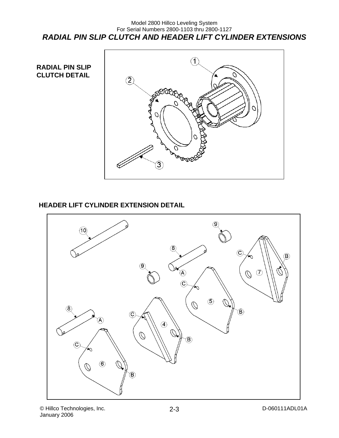#### Model 2800 Hillco Leveling System For Serial Numbers 2800-1103 thru 2800-1127 *RADIAL PIN SLIP CLUTCH AND HEADER LIFT CYLINDER EXTENSIONS*

**RADIAL PIN SLIP CLUTCH DETAIL** 



### **HEADER LIFT CYLINDER EXTENSION DETAIL**

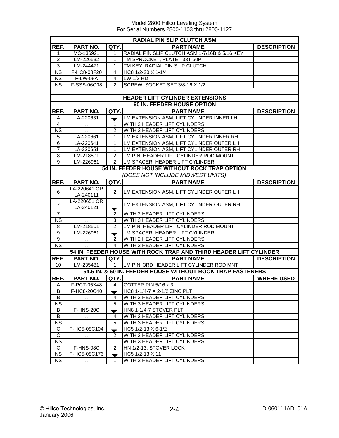|                        | <b>RADIAL PIN SLIP CLUTCH ASM</b>    |                |                                                                   |                    |  |  |
|------------------------|--------------------------------------|----------------|-------------------------------------------------------------------|--------------------|--|--|
| REF.                   | PART NO.                             | QTY.           | <b>PART NAME</b>                                                  | <b>DESCRIPTION</b> |  |  |
| 1                      | MC-136921                            | 1              | RADIAL PIN SLIP CLUTCH ASM 1-7/16B & 5/16 KEY                     |                    |  |  |
| $\overline{2}$         | LM-226532                            | 1              | TM SPROCKET, PLATE, 33T 60P                                       |                    |  |  |
| 3                      | LM-244471                            | 1              | TM KEY, RADIAL PIN SLIP CLUTCH                                    |                    |  |  |
| $\overline{\text{NS}}$ | F-HC8-08F20                          | 4              | HC8 1/2-20 X 1-1/4                                                |                    |  |  |
| <b>NS</b>              | <b>F-LW-08A</b>                      | $\overline{4}$ | LW 1/2 HD                                                         |                    |  |  |
| <b>NS</b>              | F-SSS-06C08                          | $\overline{2}$ | SCREW, SOCKET SET 3/8-16 X 1/2                                    |                    |  |  |
|                        |                                      |                |                                                                   |                    |  |  |
|                        |                                      |                | <b>HEADER LIFT CYLINDER EXTENSIONS</b>                            |                    |  |  |
|                        |                                      |                | 60 IN. FEEDER HOUSE OPTION                                        |                    |  |  |
| REF.                   | PART NO.                             | QTY.           | <b>PART NAME</b>                                                  | <b>DESCRIPTION</b> |  |  |
| 4                      | LA-220631                            |                | LM EXTENSION ASM, LIFT CYLINDER INNER LH                          |                    |  |  |
| 4                      | $\sim 100$                           | 1              | WITH 2 HEADER LIFT CYLINDERS                                      |                    |  |  |
| <b>NS</b>              | $\ddotsc$                            | $\overline{2}$ | WITH 3 HEADER LIFT CYLINDERS                                      |                    |  |  |
| 5                      | LA-220661                            | 1              | LM EXTENSION ASM, LIFT CYLINDER INNER RH                          |                    |  |  |
| $\overline{6}$         | LA-220641                            | 1              | LM EXTENSION ASM, LIFT CYLINDER OUTER LH                          |                    |  |  |
| $\overline{7}$         | LA-220651                            | 1              | LM EXTENSION ASM, LIFT CYLINDER OUTER RH                          |                    |  |  |
| 8                      | LM-218501                            | $\overline{2}$ | LM PIN, HEADER LIFT CYLINDER ROD MOUNT                            |                    |  |  |
| 9                      | LM-226961                            | $\overline{2}$ | LM SPACER, HEADER LIFT CYLINDER                                   |                    |  |  |
|                        |                                      |                | 54 IN. FEEDER HOUSE WITHOUT ROCK TRAP OPTION                      |                    |  |  |
|                        |                                      |                | (DOES NOT INCLUDE MIDWEST UNITS)                                  |                    |  |  |
| REF.                   | PART NO.                             | QTY.           | <b>PART NAME</b>                                                  | <b>DESCRIPTION</b> |  |  |
|                        | LA-220641 OR                         |                |                                                                   |                    |  |  |
| 6                      | LA-240111                            | $\overline{2}$ | LM EXTENSION ASM, LIFT CYLINDER OUTER LH                          |                    |  |  |
| $\overline{7}$         | LA-220651 OR<br>LA-240121            |                | LM EXTENSION ASM, LIFT CYLINDER OUTER RH                          |                    |  |  |
| $\overline{7}$         |                                      | $\overline{2}$ | WITH 2 HEADER LIFT CYLINDERS                                      |                    |  |  |
| <b>NS</b>              | $\sim$<br>$\sim$                     | 3              | <b>WITH 3 HEADER LIFT CYLINDERS</b>                               |                    |  |  |
| 8                      | LM-218501                            | $\overline{2}$ | LM PIN, HEADER LIFT CYLINDER ROD MOUNT                            |                    |  |  |
| $\overline{9}$         | LM-226961                            |                | LM SPACER, HEADER LIFT CYLINDER                                   |                    |  |  |
| $\overline{9}$         |                                      | 2              | WITH 2 HEADER LIFT CYLINDERS                                      |                    |  |  |
| $\overline{\text{NS}}$ |                                      | $\overline{4}$ | WITH 3 HEADER LIFT CYLINDERS                                      |                    |  |  |
|                        |                                      |                | 54 IN. FEEDER HOUSE WITH ROCK TRAP AND THIRD HEADER LIFT CYLINDER |                    |  |  |
| REF.                   | PART NO.                             | QTY.           | <b>PART NAME</b>                                                  | <b>DESCRIPTION</b> |  |  |
| 10                     | LM-235481                            | 1              | LM PIN, 3RD HEADER LIFT CYLINDER ROD MNT                          |                    |  |  |
|                        |                                      |                | 54.5 IN. & 60 IN. FEEDER HOUSE WITHOUT ROCK TRAP FASTENERS        |                    |  |  |
| REF.                   | PART NO.                             | QTY.           | <b>PART NAME</b>                                                  | <b>WHERE USED</b>  |  |  |
| $\mathsf{A}$           | F-PCT-05X48                          | $\overline{4}$ | COTTER PIN 5/16 x 3                                               |                    |  |  |
| B                      | F-HC8-20C40                          |                | HC8 1-1/4-7 X 2-1/2 ZINC PLT                                      |                    |  |  |
| B                      |                                      | 4              | WITH 2 HEADER LIFT CYLINDERS                                      |                    |  |  |
| <b>NS</b>              | $\sim$                               | 5              | WITH 3 HEADER LIFT CYLINDERS                                      |                    |  |  |
| B                      | F-HNS-20C                            |                | HN8 1-1/4-7 STOVER PLT                                            |                    |  |  |
| B                      |                                      | 4              | WITH 2 HEADER LIFT CYLINDERS                                      |                    |  |  |
| $\overline{\text{NS}}$ |                                      | $\overline{5}$ | WITH 3 HEADER LIFT CYLINDERS                                      |                    |  |  |
| C                      | $\ddot{\phantom{1}}$<br>F-HC5-08C104 |                | HC5 1/2-13 X 6-1/2                                                |                    |  |  |
| $\overline{C}$         |                                      | ▼<br>2         | WITH 2 HEADER LIFT CYLINDERS                                      |                    |  |  |
| $\overline{\text{NS}}$ | $\cdot$                              | $\mathbf{1}$   | WITH 3 HEADER LIFT CYLINDERS                                      |                    |  |  |
| $\mathsf{C}$           | F-HNS-08C                            | $\overline{c}$ | HN 1/2-13, STOVER LOCK                                            |                    |  |  |
| $\overline{\text{NS}}$ | F-HC5-08C176                         | ┶              | HC5 1/2-13 X 11                                                   |                    |  |  |
| <b>NS</b>              | $\sim 100$                           | 1              | WITH 3 HEADER LIFT CYLINDERS                                      |                    |  |  |
|                        |                                      |                |                                                                   |                    |  |  |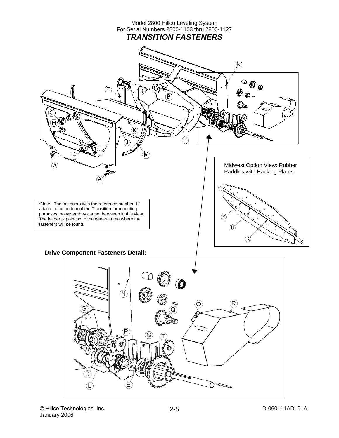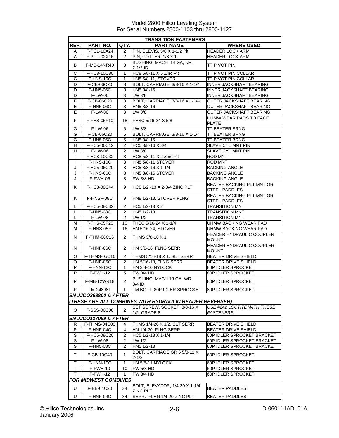| <b>TRANSITION FASTENERS</b> |                                  |                |                                                                                                |                                                   |
|-----------------------------|----------------------------------|----------------|------------------------------------------------------------------------------------------------|---------------------------------------------------|
| REF.                        | PART NO.                         | QTY.           | <b>PART NAME</b>                                                                               | <b>WHERE USED</b>                                 |
| Α                           | F-PCL-10X24                      | $\overline{2}$ | PIN, CLEVIS, 5/8 X 1-1/2 Plt                                                                   | <b>HEADER LOCK ARM</b>                            |
| A                           | F-PCT-02X16                      | 2              | PIN, COTTER, 1/8 X 1                                                                           | <b>HEADER LOCK ARM</b>                            |
| В                           | F-MB-14NR40                      | 3              | BUSHING, MACH 14 GA, NR,<br>$2-1/2$ ID                                                         | TT PIVOT PIN                                      |
| С                           | F-HC8-10C80                      | 1              | HC8 5/8-11 X 5 Zinc Plt                                                                        | <b>TT PIVOT PIN COLLAR</b>                        |
| $\overline{C}$              | F-HNS-10C                        | $\mathbf{1}$   | <b>HN8 5/8-11, STOVER</b>                                                                      | <b>TT PIVOT PIN COLLAR</b>                        |
| D                           | F-CB-06C20                       | 3              | BOLT, CARRIAGE, 3/8-16 X 1-1/4                                                                 | <b>INNER JACKSHAFT BEARING</b>                    |
| D                           | F-HN5-06C                        | 3              | HN5 3/8-16                                                                                     | <b>INNER JACKSHAFT BEARING</b>                    |
| D                           | <b>F-LW-06</b>                   | $\overline{3}$ | $LW$ 3/8                                                                                       | <b>INNER JACKSHAFT BEARING</b>                    |
| E                           | F-CB-06C20                       | 3              | BOLT, CARRIAGE, 3/8-16 X 1-1/4                                                                 | OUTER JACKSHAFT BEARING                           |
| Е                           | F-HN5-06C                        | 3              | HN5 3/8-16                                                                                     | <b>OUTER JACKSHAFT BEARING</b>                    |
| E                           | F-LW-06                          | 3              | $LW$ 3/8                                                                                       | <b>OUTER JACKSHAFT BEARING</b>                    |
| F                           | F-FHS-05F10                      | 18             | FHSC 5/16-24 X 5/8                                                                             | UHMW WEAR PADS TO FACE<br><b>PLATE</b>            |
| G                           | F-LW-06                          | 6              | LW 3/8                                                                                         | <b>TT BEATER BRNG</b>                             |
| G                           | F-CB-06C20                       | 6              | BOLT, CARRIAGE, 3/8-16 X 1-1/4                                                                 | <b>TT BEATER BRNG</b>                             |
| G                           | F-HN5-06C                        | 6              | HN5 3/8-16                                                                                     | <b>TT BEATER BRNG</b>                             |
| H                           | F-HC5-06C12                      | 2              | HC5 3/8-16 X 3/4                                                                               | SLAVE CYL MNT PIN                                 |
| н                           | F-LW-06                          | 2              | LW 3/8                                                                                         | SLAVE CYL MNT PIN                                 |
| $\mathbf{I}$                | F-HC8-10C32                      | 3              | HC8 5/8-11 X 2 Zinc Plt                                                                        | ROD MNT                                           |
| $\mathbf{I}$                | F-HNS-10C                        | 3              | <b>HN8 5/8-11 STOVER</b>                                                                       | <b>ROD MNT</b>                                    |
| J                           | F-HC5-06C20                      | 8              | HC5 3/8-16 X 1-1/4                                                                             | <b>BACKING ANGLE</b>                              |
| J                           | F-HNS-06C                        | 8              | <b>HN5 3/8-16 STOVER</b>                                                                       | <b>BACKING ANGLE</b>                              |
| J                           | F-FWH-06                         | 8              | <b>FW 3/8 HD</b>                                                                               | <b>BACKING ANGLE</b>                              |
| Κ                           | F-HC8-08C44                      | 9              | HC8 1/2 -13 X 2-3/4 ZINC PLT                                                                   | BEATER BACKING PLT MNT OR<br><b>STEEL PADDLES</b> |
| K                           | F-HNSF-08C                       | 9              | HN8 1/2-13, STOVER FLNG                                                                        | BEATER BACKING PLT MNT OR<br><b>STEEL PADDLES</b> |
| L                           | F-HC5-08C32                      | 2              | HC5 1/2-13 X 2                                                                                 | <b>TRANSITION MNT</b>                             |
| L                           | F-HN5-08C                        | $\overline{2}$ | HN5 1/2-13                                                                                     | <b>TRANSITION MNT</b>                             |
| L                           | F-LW-08                          | 2              | LW 1/2                                                                                         | <b>TRANSITION MNT</b>                             |
| M                           | F-FHS-05F20                      | 16             | FHSC 5/16-24 X 1-1/4                                                                           | <b>UHMW BACKING WEAR PAD</b>                      |
| M                           | F-HNS-05F                        | 16             | <b>HN 5/16-24, STOVER</b>                                                                      | UHMW BACKING WEAR PAD                             |
| N                           | F-THM-06C16                      | $\overline{2}$ | THMS 3/8-16 X 1                                                                                | HEADER HYDRAULIC COUPLER<br><b>MOUNT</b>          |
| N                           | F-HNF-06C                        | 2              | HN 3/8-16, FLNG SERR                                                                           | HEADER HYDRAULIC COUPLER<br><b>MOUNT</b>          |
| O                           | F-THMS-05C16                     | 2              | THMS 5/16-18 X 1, SLT SERR                                                                     | <b>BEATER DRIVE SHIELD</b>                        |
| O                           | F-HNF-05C                        | 2              | <b>HN 5/16-18, FLNG SERR</b>                                                                   | <b>BEATER DRIVE SHIELD</b>                        |
| P                           | F-HNN-12C                        | 1              | HN 3/4-10 NYLOCK                                                                               | <b>80P IDLER SPROCKET</b>                         |
| P                           | F-FWH-12                         | 5              | <b>FW 3/4 HD</b>                                                                               | <b>80P IDLER SPROCKET</b>                         |
| P                           | F-MB-12WR18                      | $\overline{2}$ | BUSHING, MACH 18 GA, WR,<br>3/4 ID                                                             | 80P IDLER SPROCKET                                |
| P.                          | LM-248981                        | 1              | TM BOLT, 80P IDLER SPROCKET                                                                    | 80P IDLER SPROCKET                                |
|                             | <b>SN JJCO268800 &amp; AFTER</b> |                |                                                                                                |                                                   |
|                             |                                  |                | (THESE ARE ALL COMBINES WITH HYDRAULIC HEADER REVERSER)                                        |                                                   |
|                             | F-SSS-06C08                      | 2              | SET SCREW, SOCKET 3/8-16 X                                                                     | USE #242 LOCTITE WITH THESE                       |
| Q                           |                                  |                | 1/2, GRADE 8                                                                                   | <b>FASTENERS</b>                                  |
|                             | <b>SN JJCO117059 &amp; AFTER</b> |                |                                                                                                |                                                   |
| R                           | F-THMS-04C08                     | 4              | THMS 1/4-20 X 1/2, SLT SERR                                                                    | <b>BEATER DRIVE SHIELD</b>                        |
| $\overline{R}$              | F-HNF-04C                        | 4              | HN 1/4-20, FLNG SERR                                                                           | <b>BEATER DRIVE SHIELD</b>                        |
| S                           | F-HC5-08C20                      | 2              | HC5 1/2-13 X 1-1/4                                                                             | 60P IDLER SPROCKET BRACKET                        |
| $\overline{s}$              | F-LW-08                          | 2              | LW 1/2                                                                                         | 60P IDLER SPROCKET BRACKET                        |
| S<br>T                      | F-HN5-08C<br>F-CB-10C40          | 2<br>1         | HN5 1/2-13<br>60P IDLER SPROCKET BRACKET<br>BOLT, CARRIAGE GR 5 5/8-11 X<br>60P IDLER SPROCKET |                                                   |
|                             |                                  |                | $2 - 1/2$                                                                                      |                                                   |
| $\mathsf T$                 | F-HNN-10C                        | $\mathbf{1}$   | HN 5/8-11 NYLOCK                                                                               | 60P IDLER SPROCKET                                |
| т                           | F-FWH-10                         | 10             | <b>FW 5/8 HD</b>                                                                               | 60P IDLER SPROCKET                                |
| T.                          | $F-FWH-12$                       | 1              | <b>FW 3/4 HD</b>                                                                               | 60P IDLER SPROCKET                                |
|                             | <b>FOR MIDWEST COMBINES</b>      |                |                                                                                                |                                                   |
| U                           | F-EB-04C20                       | 34             | BOLT, ELEVATOR, 1/4-20 X 1-1/4<br>ZINC PLT                                                     | <b>BEATER PADDLES</b>                             |
| Ū                           | F-HNF-04C                        | 34             | SERR. FLHN 1/4-20 ZINC PLT                                                                     | <b>BEATER PADDLES</b>                             |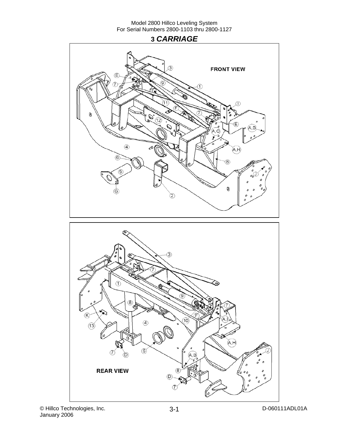## **3** *CARRIAGE*



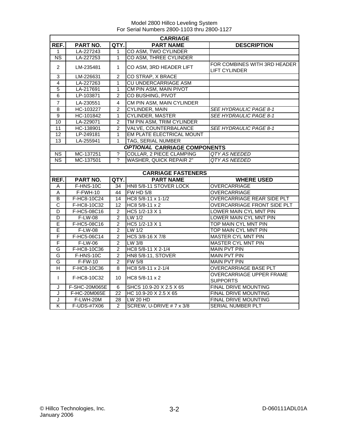|                         |                |                | <b>CARRIAGE</b>                     |                                                      |
|-------------------------|----------------|----------------|-------------------------------------|------------------------------------------------------|
| REF.                    | PART NO.       | QTY.           | <b>PART NAME</b>                    | <b>DESCRIPTION</b>                                   |
| 1                       | LA-227243      | 1              | CO ASM, TWO CYLINDER                |                                                      |
| $\overline{\text{NS}}$  | LA-227253      | 1              | <b>CO ASM, THREE CYLINDER</b>       |                                                      |
| $\overline{2}$          | LM-235481      | 1              | CO ASM, 3RD HEADER LIFT             | FOR COMBINES WITH 3RD HEADER<br><b>LIFT CYLINDER</b> |
| $\overline{3}$          | LM-226631      | $\overline{2}$ | CO STRAP, X BRACE                   |                                                      |
| $\overline{4}$          | LA-227263      | 1              | <b>CU UNDERCARRIAGE ASM</b>         |                                                      |
| $\overline{5}$          | LA-217691      | 1              | CM PIN ASM, MAIN PIVOT              |                                                      |
| $\overline{6}$          | LP-103871      | $\overline{2}$ | CO BUSHING, PIVOT                   |                                                      |
| $\overline{7}$          | LA-230551      | 4              | CM PIN ASM, MAIN CYLINDER           |                                                      |
| $\overline{8}$          | HC-103227      | $\overline{2}$ | <b>CYLINDER, MAIN</b>               | <b>SEE HYDRAULIC PAGE 8-1</b>                        |
| $\overline{9}$          | HC-101842      | 1              | <b>CYLINDER, MASTER</b>             | <b>SEE HYDRAULIC PAGE 8-1</b>                        |
| 10                      | LA-229071      | $\overline{2}$ | TM PIN ASM, TRIM CYLINDER           |                                                      |
| 11                      | HC-138901      | $\overline{2}$ | VALVE, COUNTERBALANCE               | <b>SEE HYDRAULIC PAGE 8-1</b>                        |
| 12                      | LP-249181      | 1              | <b>EM PLATE ELECTRICAL MOUNT</b>    |                                                      |
| 13                      | LA-255941      | 1              | <b>TAG, SERIAL NUMBER</b>           |                                                      |
|                         |                |                | <b>OPTIONAL CARRIAGE COMPONENTS</b> |                                                      |
| <b>NS</b>               | MC-137251      | $\overline{?}$ | COLLAR, 2 PIECE CLAMPING            | QTY AS NEEDED                                        |
| $\overline{\text{NS}}$  | MC-137501      | ?              | <b>WASHER, QUICK REPAIR 2"</b>      | QTY AS NEEDED                                        |
|                         |                |                |                                     |                                                      |
|                         |                |                | <b>CARRIAGE FASTENERS</b>           |                                                      |
| REF.                    | PART NO.       | QTY.I          | <b>PART NAME</b>                    | <b>WHERE USED</b>                                    |
| A                       | F-HNS-10C      | 34             | HN8 5/8-11 STOVER LOCK              | <b>OVERCARRIAGE</b>                                  |
| $\overline{A}$          | $F-FWH-10$     | 44             | <b>FW HD 5/8</b>                    | <b>OVERCARRIAGE</b>                                  |
| B                       | F-HC8-10C24    | 14             | HC8 5/8-11 x 1-1/2                  | <b>OVERCARRIAGE REAR SIDE PLT</b>                    |
| $\overline{\text{c}}$   | F-HC8-10C32    | 12             | HC8 5/8-11 x 2                      | <b>OVERCARRIAGE FRONT SIDE PLT</b>                   |
| D                       | F-HC5-08C16    | $\overline{2}$ | HC5 1/2-13 X 1                      | LOWER MAIN CYL MNT PIN                               |
| D                       | $F-LW-08$      | $\overline{2}$ | LW 1/2                              | LOWER MAIN CYL MNT PIN                               |
| E                       | F-HC5-08C16    | $\overline{2}$ | HC5 1/2-13 X 1                      | TOP MAIN CYL MNT PIN                                 |
| E                       | <b>F-LW-08</b> | 2              | LW 1/2                              | TOP MAIN CYL MNT PIN                                 |
| F                       | F-HC5-06C14    | $\overline{2}$ | HC5 3/8-16 X 7/8                    | <b>MASTER CYL MNT PIN</b>                            |
| F                       | F-LW-06        | $\overline{2}$ | LW 3/8                              | <b>MASTER CYL MNT PIN</b>                            |
| G                       | F-HC8-10C36    | $\overline{2}$ | HC8 5/8-11 X 2-1/4                  | <b>MAIN PVT PIN</b>                                  |
| G                       | F-HNS-10C      | $\overline{2}$ | <b>HN8 5/8-11, STOVER</b>           | <b>MAIN PVT PIN</b>                                  |
| G                       | $F-FW-10$      | 2              | <b>FW 5/8</b>                       | <b>MAIN PVT PIN</b>                                  |
| $\overline{H}$          | F-HC8-10C36    | 8              | HC8 5/8-11 x 2-1/4                  | <b>OVERCARRIAGE BASE PLT</b>                         |
| $\mathsf{I}$            | F-HC8-10C32    | 10             | HC8 5/8-11 x 2                      | <b>OVERCARRIAGE UPPER FRAME</b><br><b>SUPPORTS</b>   |
| J                       | F-SHC-20M065E  | 6              | SHCS 10.9-20 X 2.5 X 65             | <b>FINAL DRIVE MOUNTING</b>                          |
| J                       | F-HC-20M065E   | 22             | HC 10.9-20 X 2.5 X 65               | <b>FINAL DRIVE MOUNTING</b>                          |
| J                       | F-LWH-20M      | 28             | LW 20 HD                            | <b>FINAL DRIVE MOUNTING</b>                          |
| $\overline{\mathsf{K}}$ | F-UDS-#7X06    | $\overline{2}$ | SCREW, U-DRIVE # 7 x 3/8            | <b>SERIAL NUMBER PLT</b>                             |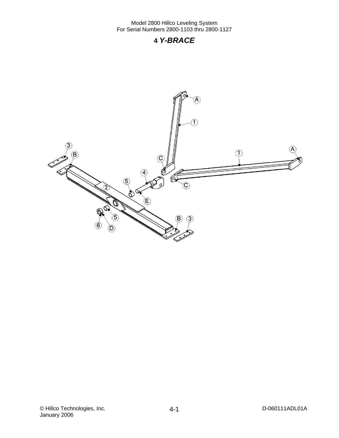## **4** *Y-BRACE*

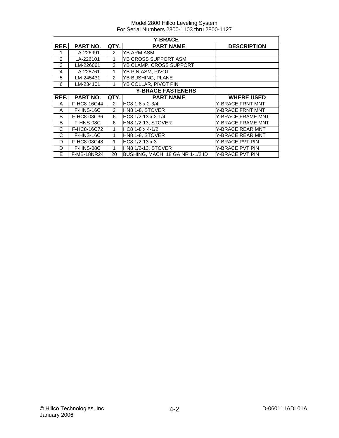|      | <b>Y-BRACE</b>           |                |                                   |                         |  |  |
|------|--------------------------|----------------|-----------------------------------|-------------------------|--|--|
| REF. | PART NO.                 | QTY.           | <b>PART NAME</b>                  | <b>DESCRIPTION</b>      |  |  |
|      | LA-226991                | $\mathcal{P}$  | <b>YB ARM ASM</b>                 |                         |  |  |
| 2    | LA-226101                | 1              | YB CROSS SUPPORT ASM              |                         |  |  |
| 3    | LM-226061                | $\overline{2}$ | YB CLAMP, CROSS SUPPORT           |                         |  |  |
| 4    | LA-228761                | 1              | YB PIN ASM, PIVOT                 |                         |  |  |
| 5    | LM-245431                | $\overline{2}$ | <b>YB BUSHING, PLANE</b>          |                         |  |  |
| 6    | LM-234101                | 1              | YB COLLAR, PIVOT PIN              |                         |  |  |
|      | <b>Y-BRACE FASTENERS</b> |                |                                   |                         |  |  |
| REF. | PART NO.                 | QTY.           | <b>PART NAME</b>                  | <b>WHERE USED</b>       |  |  |
| A    | F-HC8-16C44              | $\overline{2}$ | HC8 1-8 x 2-3/4                   | <b>Y-BRACE FRNT MNT</b> |  |  |
| A    | F-HNS-16C                | $\overline{2}$ | HN8 1-8, STOVER                   | Y-BRACE FRNT MNT        |  |  |
| B    | F-HC8-08C36              | 6              | HC8 1/2-13 x 2-1/4                | Y-BRACE FRAME MNT       |  |  |
| B    | F-HNS-08C                | 6              | <b>HN8 1/2-13, STOVER</b>         | Y-BRACE FRAME MNT       |  |  |
| C    | F-HC8-16C72              | 1              | HC8 1-8 x 4-1/2                   | Y-BRACE REAR MNT        |  |  |
| C    | F-HNS-16C                | 1              | HN8 1-8, STOVER                   | Y-BRACE REAR MNT        |  |  |
| D    | F-HC8-08C48              | 1              | HC8 1/2-13 x 3<br>Y-BRACE PVT PIN |                         |  |  |
| D    | F-HNS-08C                | 1              | <b>HN8 1/2-13, STOVER</b>         | Y-BRACE PVT PIN         |  |  |
| E    | F-MB-18NR24              | 20             | BUSHING, MACH 18 GA NR 1-1/2 ID   | Y-BRACE PVT PIN         |  |  |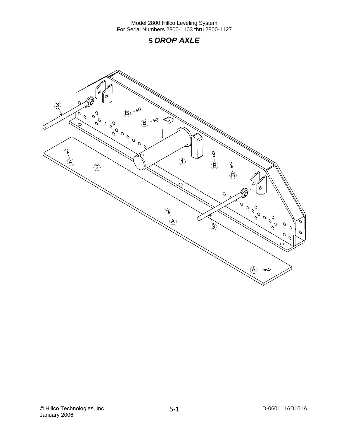## **5** *DROP AXLE*

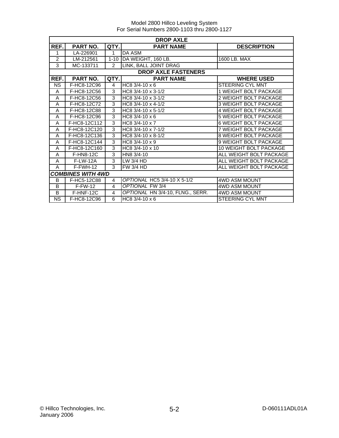|           | <b>DROP AXLE</b>         |                |                                  |                              |  |  |
|-----------|--------------------------|----------------|----------------------------------|------------------------------|--|--|
| REF.      | PART NO.                 | QTY.           | <b>PART NAME</b>                 | <b>DESCRIPTION</b>           |  |  |
| 1         | LA-226901                | $\mathbf{1}$   | <b>DA ASM</b>                    |                              |  |  |
| 2         | LM-212561                | $1 - 10$       | DA WEIGHT, 160 LB.               | 1600 LB. MAX                 |  |  |
| 3         | MC-133711                | $\mathcal{P}$  | LINK, BALL JOINT DRAG            |                              |  |  |
|           |                          |                | <b>DROP AXLE FASTENERS</b>       |                              |  |  |
| REF.      | PART NO.                 | QTY.           | <b>PART NAME</b>                 | <b>WHERE USED</b>            |  |  |
| <b>NS</b> | F-HC8-12C96              | 4              | $H$ C <sub>8</sub> 3/4-10 x 6    | <b>STEERING CYL MNT</b>      |  |  |
| A         | F-HC8-12C56              | 3              | HC8 3/4-10 x 3-1/2               | 1 WEIGHT BOLT PACKAGE        |  |  |
| A         | F-HC8-12C56              | $\overline{3}$ | $HC8$ 3/4-10 x 3-1/2             | 2 WEIGHT BOLT PACKAGE        |  |  |
| A         | F-HC8-12C72              | 3              | HC8 3/4-10 x 4-1/2               | <b>3 WEIGHT BOLT PACKAGE</b> |  |  |
| A         | F-HC8-12C88              | 3              | HC8 3/4-10 x 5-1/2               | 4 WEIGHT BOLT PACKAGE        |  |  |
| A         | F-HC8-12C96              | 3              | HC8 $3/4 - 10 \times 6$          | 5 WEIGHT BOLT PACKAGE        |  |  |
| A         | F-HC8-12C112             | 3              | HC8 3/4-10 x 7                   | <b>6 WEIGHT BOLT PACKAGE</b> |  |  |
| A         | F-HC8-12C120             | 3              | $\overline{HCB}$ 3/4-10 x 7-1/2  | 7 WEIGHT BOLT PACKAGE        |  |  |
| A         | F-HC8-12C136             | 3              | HC8 3/4-10 x 8-1/2               | <b>8 WEIGHT BOLT PACKAGE</b> |  |  |
| A         | F-HC8-12C144             | 3              | HC8 3/4-10 x 9                   | 9 WEIGHT BOLT PACKAGE        |  |  |
| A         | F-HC8-12C160             | 3              | HC8 $3/4 - 10 \times 10$         | 10 WEIGHT BOLT PACKAGE       |  |  |
| A         | <b>F-HN8-12C</b>         | 3              | HN8 3/4-10                       | ALL WEIGHT BOLT PACKAGE      |  |  |
| A         | <b>F-LW-12A</b>          | 3              | LW 3/4 HD                        | ALL WEIGHT BOLT PACKAGE      |  |  |
| A         | $F-FWH-12$               | 3              | FW3/4 HD                         | ALL WEIGHT BOLT PACKAGE      |  |  |
|           | <b>COMBINES WITH 4WD</b> |                |                                  |                              |  |  |
| B         | F-HC5-12C88              | 4              | OPTIONAL HC5 3/4-10 X 5-1/2      | <b>4WD ASM MOUNT</b>         |  |  |
| B         | $F-FW-12$                | $\overline{4}$ | OPTIONAL FW 3/4                  | <b>4WD ASM MOUNT</b>         |  |  |
| B         | F-HNF-12C                | 4              | OPTIONAL HN 3/4-10, FLNG., SERR. | <b>4WD ASM MOUNT</b>         |  |  |
| <b>NS</b> | F-HC8-12C96              | 6              | HC8 $3/4 - 10 \times 6$          | <b>STEERING CYL MNT</b>      |  |  |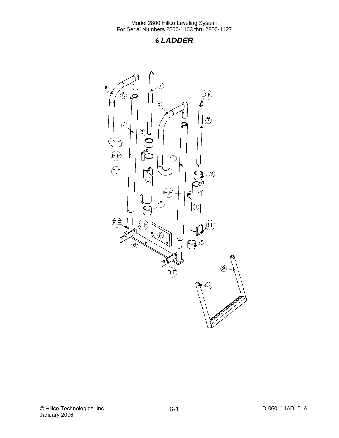## **6** *LADDER*

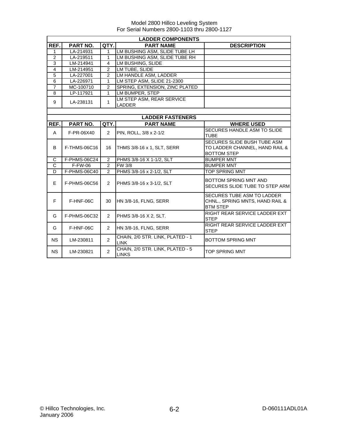|                | <b>LADDER COMPONENTS</b> |                |                                                 |                                                      |  |  |
|----------------|--------------------------|----------------|-------------------------------------------------|------------------------------------------------------|--|--|
| REF.           | <b>PART NO.</b>          | QTY.           | <b>PART NAME</b>                                | <b>DESCRIPTION</b>                                   |  |  |
| 1              | LA-214931                | 1              | LM BUSHING ASM, SLIDE TUBE LH                   |                                                      |  |  |
| $\overline{2}$ | LA-219511                | 1              | LM BUSHING ASM, SLIDE TUBE RH                   |                                                      |  |  |
| 3              | LM-214941                | 4              | LM BUSHING, SLIDE                               |                                                      |  |  |
| $\overline{4}$ | LM-214951                | $\overline{2}$ | LM TUBE, SLIDE                                  |                                                      |  |  |
| 5              | LA-227001                | $\overline{2}$ | LM HANDLE ASM. LADDER                           |                                                      |  |  |
| $\overline{6}$ | LA-226971                | 1              | LM STEP ASM, SLIDE 21-2300                      |                                                      |  |  |
| $\overline{7}$ | MC-100710                | $\overline{2}$ | SPRING, EXTENSION, ZINC PLATED                  |                                                      |  |  |
| 8              | LP-117921                | $\mathbf{1}$   | LM BUMPER, STEP                                 |                                                      |  |  |
| 9              | LA-238131                | 1              | LM STEP ASM, REAR SERVICE<br>LADDER             |                                                      |  |  |
|                |                          |                |                                                 |                                                      |  |  |
|                |                          |                | <b>LADDER FASTENERS</b>                         |                                                      |  |  |
| REF.           | PART NO.                 | QTY.           | <b>PART NAME</b>                                | <b>WHERE USED</b>                                    |  |  |
|                |                          |                |                                                 | SECURES HANDLE ASM TO SLIDE                          |  |  |
| A              | F-PR-06X40               | $\overline{2}$ | PIN, ROLL, 3/8 x 2-1/2                          | <b>TUBE</b>                                          |  |  |
|                |                          |                |                                                 | SECURES SLIDE BUSH TUBE ASM                          |  |  |
| B              | F-THMS-06C16             | 16             | THMS 3/8-16 x 1, SLT, SERR                      | TO LADDER CHANNEL, HAND RAIL &<br><b>BOTTOM STEP</b> |  |  |
| C              | F-PHMS-06C24             | 2              | PHMS 3/8-16 X 1-1/2, SLT                        | <b>BUMPER MNT</b>                                    |  |  |
| $\overline{C}$ | $F-FW-06$                | $\overline{2}$ | <b>FW 3/8</b>                                   | <b>BUMPER MNT</b>                                    |  |  |
| D              | F-PHMS-06C40             | $\overline{2}$ | PHMS 3/8-16 x 2-1/2, SLT                        | TOP SPRING MNT                                       |  |  |
|                |                          |                |                                                 |                                                      |  |  |
| E              | F-PHMS-06C56<br>2        |                | PHMS 3/8-16 x 3-1/2, SLT                        | BOTTOM SPRING MNT AND                                |  |  |
|                |                          |                |                                                 | SECURES SLIDE TUBE TO STEP ARM                       |  |  |
|                |                          |                |                                                 | SECURES TUBE ASM TO LADDER                           |  |  |
| F              | F-HNF-06C                | 30             | HN 3/8-16, FLNG, SERR                           | CHNL., SPRING MNTS, HAND RAIL &                      |  |  |
|                |                          |                |                                                 | <b>BTM STEP</b>                                      |  |  |
| G              | F-PHMS-06C32             | $\overline{2}$ | PHMS 3/8-16 X 2, SLT.                           | RIGHT REAR SERVICE LADDER EXT<br><b>STEP</b>         |  |  |
| G              | F-HNF-06C                | $\overline{2}$ | HN 3/8-16, FLNG, SERR                           | RIGHT REAR SERVICE LADDER EXT                        |  |  |
|                |                          |                |                                                 | <b>STEP</b>                                          |  |  |
| <b>NS</b>      | LM-230811                | $\overline{2}$ | CHAIN, 2/0 STR. LINK, PLATED - 1<br><b>LINK</b> | <b>BOTTOM SPRING MNT</b>                             |  |  |
| <b>NS</b>      | LM-230821                | $\overline{2}$ | CHAIN, 2/0 STR. LINK, PLATED - 5                | <b>TOP SPRING MNT</b>                                |  |  |
|                |                          |                | <b>LINKS</b>                                    |                                                      |  |  |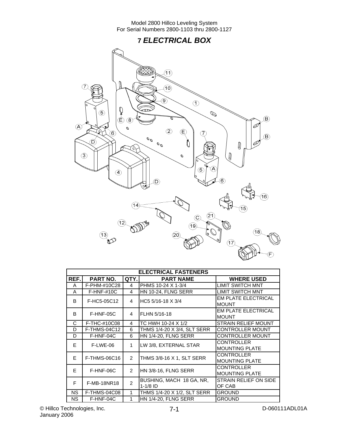## **7** *ELECTRICAL BOX*



|           | <b>ELECTRICAL FASTENERS</b> |                |                                        |                                            |  |  |
|-----------|-----------------------------|----------------|----------------------------------------|--------------------------------------------|--|--|
| REF.      | <b>PART NO.</b>             | QTY.           | <b>PART NAME</b>                       | <b>WHERE USED</b>                          |  |  |
| A         | F-PHM-#10C28                | 4              | PHMS 10-24 X 1-3/4                     | <b>LIMIT SWITCH MNT</b>                    |  |  |
| A         | $F-HNF-#10C$                | 4              | HN 10-24, FLNG SERR                    | <b>LIMIT SWITCH MNT</b>                    |  |  |
| B         | F-HC5-05C12                 | 4              | HC5 5/16-18 X 3/4                      | <b>EM PLATE ELECTRICAL</b><br><b>MOUNT</b> |  |  |
| B         | F-HNF-05C                   | 4              | FLHN 5/16-18                           | <b>EM PLATE ELECTRICAL</b><br><b>MOUNT</b> |  |  |
| C         | F-THC-#10C08                | 4              | TC HWH 10-24 X 1/2                     | STRAIN RELIEF MOUNT                        |  |  |
| D         | F-THMS-04C12                | 6              | THMS 1/4-20 X 3/4, SLT SERR            | <b>CONTROLLER MOUNT</b>                    |  |  |
| D         | F-HNF-04C                   | 6              | <b>HN 1/4-20, FLNG SERR</b>            | <b>CONTROLLER MOUNT</b>                    |  |  |
| E         | F-LWE-06                    | 1              | LW 3/8, EXTERNAL STAR                  | <b>CONTROLLER</b><br><b>MOUNTING PLATE</b> |  |  |
| E         | F-THMS-06C16                | $\overline{2}$ | THMS 3/8-16 X 1, SLT SERR              | <b>CONTROLLER</b><br><b>MOUNTING PLATE</b> |  |  |
| E         | F-HNF-06C                   | $\mathcal{P}$  | HN 3/8-16, FLNG SERR                   | <b>CONTROLLER</b><br><b>MOUNTING PLATE</b> |  |  |
| F         | <b>F-MB-18NR18</b>          | $\mathcal{P}$  | BUSHING, MACH 18 GA, NR,<br>$1-1/8$ ID | STRAIN RELIEF ON SIDE<br>OF CAB            |  |  |
| <b>NS</b> | F-THMS-04C08                | 1              | THMS 1/4-20 X 1/2, SLT SERR            | <b>GROUND</b>                              |  |  |
| <b>NS</b> | F-HNF-04C                   | 1              | HN 1/4-20, FLNG SERR                   | <b>GROUND</b>                              |  |  |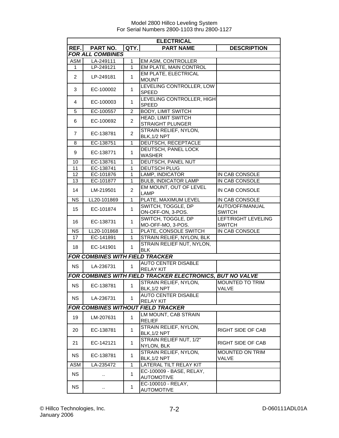|                                           | <b>ELECTRICAL</b>                      |                |                                                           |                                      |
|-------------------------------------------|----------------------------------------|----------------|-----------------------------------------------------------|--------------------------------------|
| REF.                                      | <b>PART NO.</b>                        | QTY.           | <b>PART NAME</b>                                          | <b>DESCRIPTION</b>                   |
|                                           | <b>FOR ALL COMBINES</b>                |                |                                                           |                                      |
| ASM                                       | LA-249111                              | 1              | EM ASM, CONTROLLER                                        |                                      |
| $\mathbf{1}$                              | LP-249121                              | $\mathbf{1}$   | <b>EM PLATE, MAIN CONTROL</b>                             |                                      |
|                                           |                                        |                | EM PLATE, ELECTRICAL                                      |                                      |
| 2                                         | LP-249181                              | $\mathbf{1}$   | <b>MOUNT</b>                                              |                                      |
| 3                                         | EC-100002                              | 1              | LEVELING CONTROLLER, LOW<br><b>SPEED</b>                  |                                      |
| 4                                         | EC-100003                              | $\mathbf{1}$   | LEVELING CONTROLLER, HIGH<br><b>SPEED</b>                 |                                      |
| 5                                         | EC-100557                              | 2              | <b>BODY, LIMIT SWITCH</b>                                 |                                      |
|                                           |                                        |                | <b>HEAD, LIMIT SWITCH</b>                                 |                                      |
| 6                                         | EC-100692                              | $\overline{c}$ | STRAIGHT PLUNGER                                          |                                      |
| $\overline{7}$                            | EC-138781                              | $\overline{2}$ | <b>STRAIN RELIEF, NYLON,</b><br>BLK, 1/2 NPT              |                                      |
| 8                                         | EC-138751                              | $\mathbf{1}$   | <b>DEUTSCH, RECEPTACLE</b>                                |                                      |
| 9                                         | EC-138771                              | 1              | DEUTSCH, PANEL LOCK<br><b>WASHER</b>                      |                                      |
| 10                                        | EC-138761                              | $\mathbf{1}$   | DEUTSCH, PANEL NUT                                        |                                      |
| 11                                        | EC-138741                              | 1              | <b>DEUTSCH PLUG</b>                                       |                                      |
| 12                                        | EC-101876                              | 1              | LAMP, INDICATOR                                           | IN CAB CONSOLE                       |
| 13                                        | EC-101877                              | $\mathbf{1}$   | <b>BULB, INDICATOR LAMP</b>                               | IN CAB CONSOLE                       |
| 14                                        | LM-219501                              | $\overline{2}$ | EM MOUNT, OUT OF LEVEL<br><b>LAMP</b>                     | IN CAB CONSOLE                       |
| <b>NS</b>                                 | LL20-101869                            | $\mathbf{1}$   | PLATE, MAXIMUM LEVEL                                      | IN CAB CONSOLE                       |
| 15                                        | EC-101874                              | $\mathbf{1}$   | SWITCH, TOGGLE, DP<br>ON-OFF-ON, 3-POS.                   | AUTO/OFF/MANUAL<br><b>SWITCH</b>     |
| 16                                        | EC-138731                              | $\mathbf{1}$   | SWITCH, TOGGLE, DP<br>MO-OFF-MO, 3-POS.                   | LEFT/RIGHT LEVELING<br><b>SWITCH</b> |
| <b>NS</b>                                 | LL20-101868                            | 1              | PLATE, CONSOLE SWITCH                                     | IN CAB CONSOLE                       |
| 17                                        | EC-141891                              | 1              | STRAIN RELIEF, NYLON, BLK                                 |                                      |
| 18                                        | EC-141901                              | 1              | STRAIN RELIEF NUT, NYLON,<br><b>BLK</b>                   |                                      |
|                                           | <b>FOR COMBINES WITH FIELD TRACKER</b> |                |                                                           |                                      |
| <b>NS</b>                                 | LA-236731                              | 1              | <b>AUTO CENTER DISABLE</b><br><b>RELAY KIT</b>            |                                      |
|                                           |                                        |                | FOR COMBINES WITH FIELD TRACKER ELECTRONICS, BUT NO VALVE |                                      |
| <b>NS</b>                                 | EC-138781                              | 1              | <b>STRAIN RELIEF, NYLON,</b>                              | MOUNTED TO TRIM                      |
|                                           |                                        |                | BLK, 1/2 NPT<br><b>AUTO CENTER DISABLE</b>                | VALVE                                |
| <b>NS</b>                                 | LA-236731                              | 1              | <b>RELAY KIT</b>                                          |                                      |
| <b>FOR COMBINES WITHOUT FIELD TRACKER</b> |                                        |                |                                                           |                                      |
| 19                                        | LM-207631                              | $\mathbf{1}$   | LM MOUNT, CAB STRAIN<br><b>RELIEF</b>                     |                                      |
| 20                                        | EC-138781                              | $\mathbf{1}$   | STRAIN RELIEF, NYLON,<br>BLK, 1/2 NPT                     | RIGHT SIDE OF CAB                    |
| 21                                        | EC-142121                              | $\mathbf{1}$   | STRAIN RELIEF NUT, 1/2"<br>NYLON, BLK                     | RIGHT SIDE OF CAB                    |
| <b>NS</b>                                 | EC-138781                              | 1              | STRAIN RELIEF, NYLON,<br>BLK, 1/2 NPT                     | MOUNTED ON TRIM<br>VALVE             |
| <b>ASM</b>                                | LA-235472                              | $\mathbf{1}$   | LATERAL TILT RELAY KIT                                    |                                      |
| <b>NS</b>                                 |                                        | $\mathbf{1}$   | EC-100009 - BASE, RELAY,<br><b>AUTOMOTIVE</b>             |                                      |
| <b>NS</b>                                 | .,                                     | 1              | EC-100010 - RELAY,<br><b>AUTOMOTIVE</b>                   |                                      |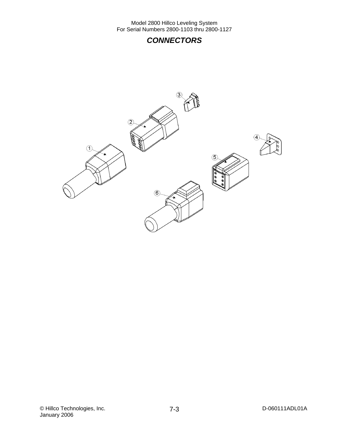## *CONNECTORS*

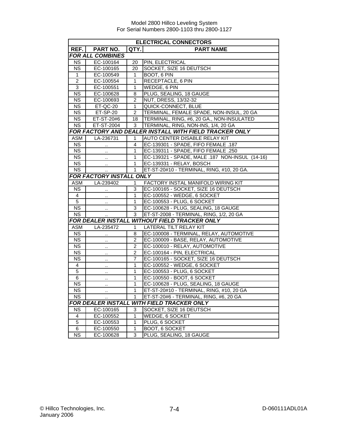|                        | <b>ELECTRICAL CONNECTORS</b>                  |                |                                                        |  |
|------------------------|-----------------------------------------------|----------------|--------------------------------------------------------|--|
| REF.                   | <b>PART NO.</b>                               | QTY.           | <b>PART NAME</b>                                       |  |
|                        | <b>FOR ALL COMBINES</b>                       |                |                                                        |  |
| <b>NS</b>              | EC-100164                                     | 20             | PIN, ELECTRICAL                                        |  |
| <b>NS</b>              | EC-100165                                     | 20             | SOCKET, SIZE 16 DEUTSCH                                |  |
| $\mathbf{1}$           | EC-100549                                     | 1              | BOOT, 6 PIN                                            |  |
| $\boldsymbol{2}$       | EC-100554                                     | 1              | RECEPTACLE, 6 PIN                                      |  |
| $\overline{3}$         | EC-100551                                     | $\mathbf{1}$   | WEDGE, 6 PIN                                           |  |
| $\overline{NS}$        | EC-100628                                     | 8              | PLUG, SEALING, 18 GAUGE                                |  |
| <b>NS</b>              | EC-100693                                     | $\overline{2}$ | NUT, DRESS, 13/32-32                                   |  |
| $\overline{\text{NS}}$ | ET-QC-20                                      | 1              | QUICK-CONNECT, BLUE                                    |  |
| <b>NS</b>              | ET-SP-20                                      | $\overline{2}$ | TERMINAL, FEMALE SPADE, NON-INSUL, 20 GA               |  |
| $\overline{\text{NS}}$ | ET-ST-20#6                                    | 18             | TERMINAL, RING, #6, 20 GA., NON-INSULATED              |  |
| <b>NS</b>              | ET-ST-2004                                    | 3              | TERMINAL, RING, NON-INS, 1/4, 20 GA                    |  |
|                        |                                               |                | FOR FACTORY AND DEALER INSTALL WITH FIELD TRACKER ONLY |  |
| ASM                    | LA-236731                                     | 1              | <b>AUTO CENTER DISABLE RELAY KIT</b>                   |  |
| <b>NS</b>              |                                               | 4              | EC-139301 - SPADE, FIFO FEMALE .187                    |  |
| <b>NS</b>              |                                               | 1              | EC-139311 - SPADE, FIFO FEMALE .250                    |  |
| <b>NS</b>              | $\ddotsc$                                     | $\mathbf{1}$   | EC-139321 - SPADE, MALE .187 NON-INSUL (14-16)         |  |
| $\overline{\text{NS}}$ | $\ddot{\phantom{1}}$                          | $\mathbf{1}$   | EC-139331 - RELAY, BOSCH                               |  |
| $\overline{\text{NS}}$ |                                               | $\mathbf{1}$   | ET-ST-20#10 - TERMINAL, RING, #10, 20 GA.              |  |
|                        | FOR FACTORY INSTALL ONLY                      |                |                                                        |  |
| <b>ASM</b>             | LA-239402                                     | $\mathbf{1}$   | FACTORY INSTAL MANIFOLD WIRING KIT                     |  |
| <b>NS</b>              | $\ddot{\phantom{1}}$                          | 3              | EC-100165 - SOCKET, SIZE 16 DEUTSCH                    |  |
| 4                      | $\ddot{\phantom{a}}$                          | 1              | EC-100552 - WEDGE, 6 SOCKET                            |  |
| $\overline{5}$         | $\cdot$ .                                     | 1              | EC-100553 - PLUG, 6 SOCKET                             |  |
| <b>NS</b>              | $\cdot$ .                                     | 3              | EC-100628 - PLUG, SEALING, 18 GAUGE                    |  |
| <b>NS</b>              |                                               | 3              | ET-ST-2008 - TERMINAL, RING, 1/2, 20 GA                |  |
|                        | FOR DEALER INSTALL WITHOUT FIELD TRACKER ONLY |                |                                                        |  |
| <b>ASM</b>             | LA-235472                                     | 1              | LATERAL TILT RELAY KIT                                 |  |
| <b>NS</b>              | .,                                            | 8              | EC-100008 - TERMINAL, RELAY, AUTOMOTIVE                |  |
| <b>NS</b>              |                                               | $\overline{2}$ | EC-100009 - BASE, RELAY, AUTOMOTIVE                    |  |
| $\overline{\text{NS}}$ | .,                                            | $\overline{2}$ | EC-100010 - RELAY, AUTOMOTIVE                          |  |
| $\overline{\text{NS}}$ | $\ddotsc$                                     | $\overline{2}$ | EC-100164 - PIN, ELECTRICAL                            |  |
| <b>NS</b>              | $\ddot{\phantom{a}}$                          | 7              | EC-100165 - SOCKET, SIZE 16 DEUTSCH                    |  |
| 4                      |                                               | 1              | EC-100552 - WEDGE, 6 SOCKET                            |  |
| $\overline{5}$         | $\cdot$ .                                     | $\mathbf{1}$   | EC-100553 - PLUG, 6 SOCKET                             |  |
| $\overline{6}$         | $\cdot$                                       | $\mathbf{1}$   | EC-100550 - BOOT, 6 SOCKET                             |  |
| $\overline{\text{NS}}$ | .,                                            | $\mathbf{1}$   | EC-100628 - PLUG, SEALING, 18 GAUGE                    |  |
| <b>NS</b>              | $\sim$                                        | 1              | ET-ST-20#10 - TERMINAL, RING, #10, 20 GA               |  |
| <b>NS</b>              |                                               | 1              | ET-ST-20#6 - TERMINAL, RING, #6, 20 GA                 |  |
|                        | <b>FOR DEALER INSTALL</b>                     |                | <b>WITH FIELD TRACKER ONLY</b>                         |  |
| <b>NS</b>              | EC-100165                                     | 3              | SOCKET, SIZE 16 DEUTSCH                                |  |
| $\overline{4}$         | EC-100552                                     | 1              | <b>WEDGE, 6 SOCKET</b>                                 |  |
| 5                      | EC-100553                                     | 1              | PLUG, 6 SOCKET                                         |  |
| 6                      | EC-100550                                     | 1              | BOOT, 6 SOCKET                                         |  |
| <b>NS</b>              | EC-100628                                     | 3              | PLUG, SEALING, 18 GAUGE                                |  |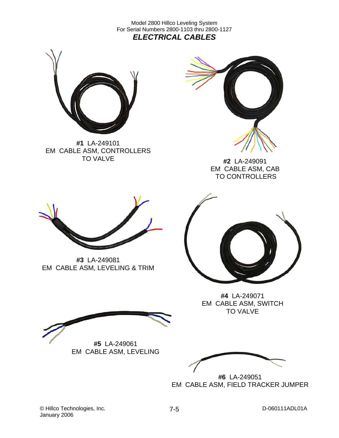Model 2800 Hillco Leveling System For Serial Numbers 2800-1103 thru 2800-1127 *ELECTRICAL CABLES* 



**#1** LA-249101 EM CABLE ASM, CONTROLLERS TO VALVE



**#2** LA-249091 EM CABLE ASM, CAB TO CONTROLLERS



**#3** LA-249081 EM CABLE ASM, LEVELING & TRIM



**#4** LA-249071 EM CABLE ASM, SWITCH TO VALVE

**#5** LA-249061 EM CABLE ASM, LEVELING

**#6** LA-249051 EM CABLE ASM, FIELD TRACKER JUMPER

© Hillco Technologies, Inc. 2008 2012 7-5 January 2006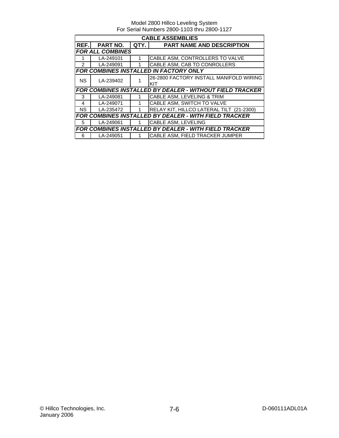|                         | <b>CABLE ASSEMBLIES</b> |      |                                                                 |  |  |  |
|-------------------------|-------------------------|------|-----------------------------------------------------------------|--|--|--|
| REF.I                   | PART NO.                | QTY. | <b>PART NAME AND DESCRIPTION</b>                                |  |  |  |
| <b>FOR ALL COMBINES</b> |                         |      |                                                                 |  |  |  |
|                         | LA-249101               |      | CABLE ASM, CONTROLLERS TO VALVE                                 |  |  |  |
| 2                       | LA-249091               |      | CABLE ASM, CAB TO CONROLLERS                                    |  |  |  |
|                         |                         |      | FOR COMBINES INSTALLED IN FACTORY ONLY                          |  |  |  |
| <b>NS</b>               | LA-239402               |      | 26-2800 FACTORY INSTALL MANIFOLD WIRING                         |  |  |  |
|                         |                         |      | KIT                                                             |  |  |  |
|                         |                         |      | <b>FOR COMBINES INSTALLED BY DEALER - WITHOUT FIELD TRACKER</b> |  |  |  |
| 3                       | LA-249081               |      | CABLE ASM, LEVELING & TRIM                                      |  |  |  |
| 4                       | LA-249071               | 1    | CABLE ASM, SWITCH TO VALVE                                      |  |  |  |
| NS.                     | LA-235472               |      | RELAY KIT, HILLCO LATERAL TILT (21-2300)                        |  |  |  |
|                         |                         |      | FOR COMBINES INSTALLED BY DEALER - WITH FIELD TRACKER           |  |  |  |
| 5                       | LA-249061               | 1    | CABLE ASM, LEVELING                                             |  |  |  |
|                         |                         |      | FOR COMBINES INSTALLED BY DEALER - WITH FIELD TRACKER           |  |  |  |
| 6                       | LA-249051               |      | <b>CABLE ASM, FIELD TRACKER JUMPER</b>                          |  |  |  |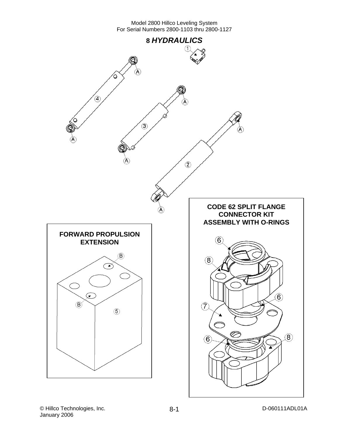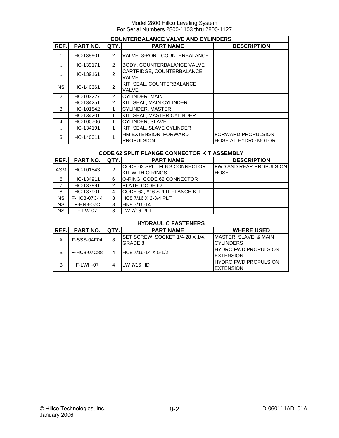|                      | <b>COUNTERBALANCE VALVE AND CYLINDERS</b> |                |                                            |                                                         |  |  |  |
|----------------------|-------------------------------------------|----------------|--------------------------------------------|---------------------------------------------------------|--|--|--|
| REF.                 | PART NO.                                  | QTY.           | <b>PART NAME</b>                           | <b>DESCRIPTION</b>                                      |  |  |  |
|                      | HC-138901                                 | 2              | VALVE, 3-PORT COUNTERBALANCE               |                                                         |  |  |  |
| $\ddot{\phantom{a}}$ | HC-139171                                 | 2              | <b>BODY, COUNTERBALANCE VALVE</b>          |                                                         |  |  |  |
|                      | HC-139161                                 | $\mathfrak{p}$ | CARTRIDGE, COUNTERBALANCE<br>VAI VF        |                                                         |  |  |  |
| NS.                  | HC-140361                                 | $\mathfrak{p}$ | KIT, SEAL, COUNTERBALANCE<br><b>VALVE</b>  |                                                         |  |  |  |
| $\mathcal{P}$        | HC-103227                                 | $\overline{2}$ | CYLINDER, MAIN                             |                                                         |  |  |  |
|                      | HC-134251                                 | 2              | KIT, SEAL, MAIN CYLINDER                   |                                                         |  |  |  |
| 3                    | HC-101842                                 | 1              | <b>CYLINDER, MASTER</b>                    |                                                         |  |  |  |
|                      | HC-134201                                 | 1              | KIT, SEAL, MASTER CYLINDER                 |                                                         |  |  |  |
| 4                    | HC-100706                                 | 1              | CYLINDER, SLAVE                            |                                                         |  |  |  |
|                      | HC-134191                                 |                | KIT, SEAL, SLAVE CYLINDER                  |                                                         |  |  |  |
| 5                    | HC-140011                                 |                | HM EXTENSION, FORWARD<br><b>PROPULSION</b> | <b>FORWARD PROPULSION</b><br><b>HOSE AT HYDRO MOTOR</b> |  |  |  |
|                      |                                           |                |                                            |                                                         |  |  |  |

|            | <b>CODE 62 SPLIT FLANGE CONNECTOR KIT ASSEMBLY</b> |                         |                                         |                                |  |  |  |
|------------|----------------------------------------------------|-------------------------|-----------------------------------------|--------------------------------|--|--|--|
| REF.       | <b>PART NO.</b>                                    | $\left $ QTY.           | <b>PART NAME</b>                        | <b>DESCRIPTION</b>             |  |  |  |
| <b>ASM</b> | HC-101843                                          | $\mathcal{P}$           | CODE 62 SPLT FLNG CONNECTOR             | <b>FWD AND REAR PROPULSION</b> |  |  |  |
|            |                                                    | <b>KIT WITH O-RINGS</b> | <b>HOSE</b>                             |                                |  |  |  |
| 6          | HC-134911                                          | 6                       | O-RING, CODE 62 CONNECTOR               |                                |  |  |  |
| 7          | HC-137891                                          | 2                       | PLATE, CODE 62                          |                                |  |  |  |
| 8          | HC-137901                                          | 4                       | CODE 62, #16 SPLIT FLANGE KIT           |                                |  |  |  |
| <b>NS</b>  | F-HC8-07C44                                        | 8                       | HC8 7/16 X 2-3/4 PLT                    |                                |  |  |  |
| <b>NS</b>  | F-HN8-07C                                          | 8                       | HN8 7/16-14                             |                                |  |  |  |
| <b>NS</b>  | F-LW-07                                            | 8                       | $\overline{\text{LW }7/16 \text{ PLT}}$ |                                |  |  |  |
|            |                                                    |                         |                                         |                                |  |  |  |
|            |                                                    |                         | <b>UVDDAIL IC EASTENEDS</b>             |                                |  |  |  |

|      | <b>HYDRAULIC FASTENERS</b> |        |                                                   |                                                      |  |  |  |  |
|------|----------------------------|--------|---------------------------------------------------|------------------------------------------------------|--|--|--|--|
| REF. | <b>PART NO.</b>            | LQTY.I | <b>PART NAME</b>                                  | <b>WHERE USED</b>                                    |  |  |  |  |
| A    | F-SSS-04F04                | 8      | SET SCREW, SOCKET 1/4-28 X 1/4,<br><b>GRADE 8</b> | <b>MASTER, SLAVE, &amp; MAIN</b><br><b>CYLINDERS</b> |  |  |  |  |
| B    | F-HC8-07C88                | 4      | $HC87/16-14 \times 5-1/2$                         | <b>HYDRO FWD PROPULSION</b><br><b>EXTENSION</b>      |  |  |  |  |
| B    | F-LWH-07                   | 4      | LW 7/16 HD                                        | <b>HYDRO FWD PROPULSION</b><br><b>EXTENSION</b>      |  |  |  |  |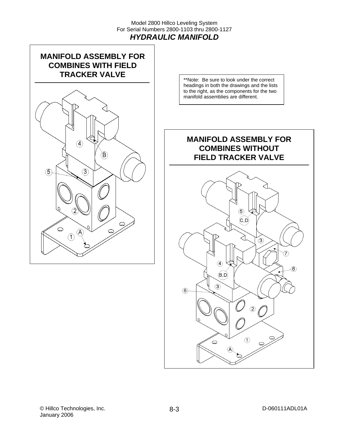#### Model 2800 Hillco Leveling System For Serial Numbers 2800-1103 thru 2800-1127 *HYDRAULIC MANIFOLD*



\*\*Note: Be sure to look under the correct headings in both the drawings and the lists to the right, as the components for the two manifold assemblies are different.

## **MANIFOLD ASSEMBLY FOR COMBINES WITHOUT FIELD TRACKER VALVE**

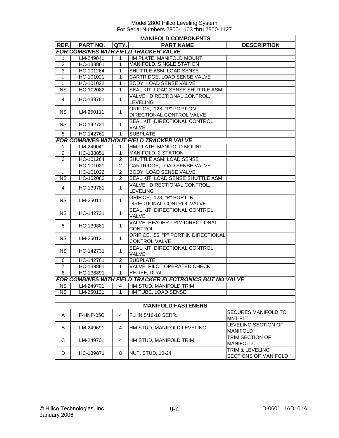|                        |           |                | <b>MANIFOLD COMPONENTS</b>                                      |                                         |
|------------------------|-----------|----------------|-----------------------------------------------------------------|-----------------------------------------|
| REF.                   | PART NO.  | QTY            | <b>PART NAME</b>                                                | <b>DESCRIPTION</b>                      |
|                        |           |                | FOR COMBINES WITH FIELD TRACKER VALVE                           |                                         |
| $\mathbf 1$            | LM-249041 | $\mathbf{1}$   | HM PLATE, MANIFOLD MOUNT                                        |                                         |
| $\overline{2}$         | HC-138861 | 1              | <b>MANIFOLD, SINGLE STATION</b>                                 |                                         |
| 3                      | HC-101264 | 1              | SHUTTLE ASM, LOAD SENSE                                         |                                         |
| $\ddot{\phantom{1}}$   | HC-101021 | 1              | CARTRIDGE, LOAD SENSE VALVE                                     |                                         |
|                        | HC-101022 | 1              | <b>BODY, LOAD SENSE VALVE</b>                                   |                                         |
| <b>NS</b>              | HC-102082 | $\mathbf{1}$   | SEAL KIT, LOAD SENSE SHUTTLE ASM                                |                                         |
| $\overline{4}$         | HC-139781 | $\mathbf{1}$   | VALVE, DIRECTIONAL CONTROL,                                     |                                         |
|                        |           |                | <b>LEVELING</b>                                                 |                                         |
| <b>NS</b>              | LM-250111 | $\mathbf{1}$   | ORIFICE, .128, "P" PORT ON<br>DIRECTIONAL CONTROL VALVE         |                                         |
|                        |           |                | SEAL KIT, DIRECTIONAL CONTROL                                   |                                         |
| <b>NS</b>              | HC-142731 | $\mathbf{1}$   | <b>VALVE</b>                                                    |                                         |
| 5                      | HC-142761 | $\mathbf{1}$   | <b>SUBPLATE</b>                                                 |                                         |
|                        |           |                | <b>FOR COMBINES WITHOUT FIELD TRACKER VALVE</b>                 |                                         |
| $\mathbf{1}$           | LM-249041 | 1              | HM PLATE, MANIFOLD MOUNT                                        |                                         |
| $\overline{2}$         | HC-138851 | $\mathbf{1}$   | <b>MANIFOLD, 2 STATION</b>                                      |                                         |
| 3                      | HC-101264 | $\overline{2}$ | SHUTTLE ASM, LOAD SENSE                                         |                                         |
| $\ddotsc$              | HC-101021 | $\overline{2}$ | CARTRIDGE, LOAD SENSE VALVE                                     |                                         |
|                        | HC-101022 | $\overline{2}$ | <b>BODY, LOAD SENSE VALVE</b>                                   |                                         |
| <b>NS</b>              | HC-102082 | $\overline{2}$ | SEAL KIT, LOAD SENSE SHUTTLE ASM                                |                                         |
| 4                      | HC-139781 | $\mathbf{1}$   | VALVE, DIRECTIONAL CONTROL,<br><b>LEVELING</b>                  |                                         |
| <b>NS</b>              | LM-250111 | $\mathbf{1}$   | ORIFICE, .128, "P" PORT IN<br>DIRECTIONAL CONTROL VALVE         |                                         |
| <b>NS</b>              | HC-142731 | $\mathbf{1}$   | SEAL KIT, DIRECTIONAL CONTROL<br>VALVE                          |                                         |
| 5                      | HC-139881 | $\mathbf{1}$   | VALVE, HEADER TRIM DIRECTIONAL<br><b>CONTROL</b>                |                                         |
| <b>NS</b>              | LM-250121 | $\mathbf{1}$   | ORIFICE, .55, "P" PORT IN DIRECTIONAL<br>CONTROL VALVE          |                                         |
| <b>NS</b>              | HC-142731 | $\mathbf{1}$   | SEAL KIT, DIRECTIONAL CONTROL<br>VALVE                          |                                         |
| 6                      | HC-142761 | 2              | <b>SUBPLATE</b>                                                 |                                         |
| $\overline{7}$         | HC-138881 | $\mathbf{1}$   | VALVE, PILOT OPERATED CHECK                                     |                                         |
| 8                      | HC-138891 | $\mathbf{1}$   | <b>RELIEF, DUAL</b>                                             |                                         |
|                        |           |                | <b>FOR COMBINES WITH FIELD TRACKER ELECTRONICS BUT NO VALVE</b> |                                         |
| <b>NS</b>              | LM-249701 | 4              | HM STUD, MANIFOLD TRIM                                          |                                         |
| $\overline{\text{NS}}$ | LM-250131 | 1              | HM TUBE, LOAD SENSE                                             |                                         |
|                        |           |                |                                                                 |                                         |
|                        |           |                | <b>MANIFOLD FASTENERS</b>                                       |                                         |
| A                      | F-HNF-05C | $\overline{4}$ | FLHN 5/16-18 SERR.                                              | SECURES MANIFOLD TO<br>MNT PLT          |
| B                      | LM-249691 | 4              | HM STUD, MANIFOLD LEVELING                                      | LEVELING SECTION OF<br><b>MANIFOLD</b>  |
| С                      | LM-249701 | 4              | HM STUD, MANIFOLD TRIM                                          | TRIM SECTION OF<br><b>MANIFOLD</b>      |
| D                      | HC-139871 | 8              | <b>NUT, STUD, 10-24</b>                                         | TRIM & LEVELING<br>SECTIONS OF MANIFOLD |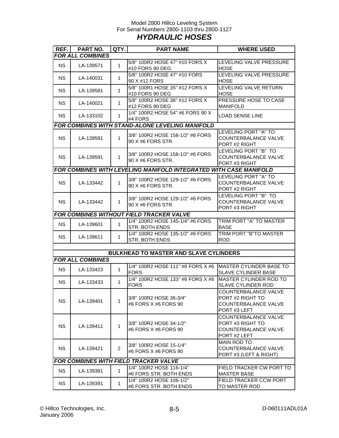#### Model 2800 Hillco Leveling System For Serial Numbers 2800-1103 thru 2800-1127 *HYDRAULIC HOSES*

| REF.      | PART NO.                | QTY.           | <b>PART NAME</b>                                                  | <b>WHERE USED</b>                                                                |
|-----------|-------------------------|----------------|-------------------------------------------------------------------|----------------------------------------------------------------------------------|
|           | <b>FOR ALL COMBINES</b> |                |                                                                   |                                                                                  |
| <b>NS</b> | LA-139571               | $\mathbf{1}$   | 5/8" 100R2 HOSE 47" #10 FORS X<br>#10 FORS 90 DEG                 | LEVELING VALVE PRESSURE<br><b>HOSE</b>                                           |
| <b>NS</b> | LA-140031               | $\mathbf 1$    | 5/8" 100R2 HOSE 47" #10 FORS<br>90 X #12 FORS                     | LEVELING VALVE PRESSURE<br><b>HOSE</b>                                           |
| <b>NS</b> | LA-139581               | $\mathbf 1$    | 5/8" 100R1 HOSE 35" #12 FORS X<br>#10 FORS 90 DEG                 | LEVELING VALVE RETURN<br><b>HOSE</b>                                             |
| <b>NS</b> | LA-140021               | $\mathbf 1$    | 5/8" 100R2 HOSE 36" #12 FORS X<br>#12 FORS 90 DEG                 | PRESSURE HOSE TO CASE<br><b>MANIFOLD</b>                                         |
| NS.       | LA-133102               | 1              | 1/4" 100R2 HOSE 54" #6 FORS 90 X<br>#4 FORS                       | <b>LOAD SENSE LINE</b>                                                           |
|           |                         |                | <b>FOR COMBINES WITH STAND-ALONE LEVELING MANIFOLD</b>            |                                                                                  |
| <b>NS</b> | LA-139591               | $\mathbf{1}$   | 3/8" 100R2 HOSE 158-1/2" #6 FORS<br>90 X #6 FORS STR.             | LEVELING PORT "A" TO<br>COUNTERBALANCE VALVE<br>PORT #2 RIGHT                    |
| <b>NS</b> | LA-139591               | $\mathbf{1}$   | 3/8" 100R2 HOSE 158-1/2" #6 FORS<br>90 X #6 FORS STR.             | LEVELING PORT "B" TO<br>COUNTERBALANCE VALVE<br>PORT#3 RIGHT                     |
|           |                         |                | FOR COMBINES WITH LEVELING MANIFOLD INTEGRATED WITH CASE MANIFOLD |                                                                                  |
| <b>NS</b> | LA-133442               | $\mathbf{1}$   | 3/8" 100R2 HOSE 129-1/2" #6 FORS<br>90 X #6 FORS STR.             | LEVELING PORT "A" TO<br>COUNTERBALANCE VALVE<br>PORT #2 RIGHT                    |
| NS.       | LA-133442               | 1              | 3/8" 100R2 HOSE 129-1/2" #6 FORS<br>90 X #6 FORS STR.             | LEVELING PORT "B" TO<br>COUNTERBALANCE VALVE<br>PORT #3 RIGHT                    |
|           |                         |                | <b>FOR COMBINES WITHOUT FIELD TRACKER VALVE</b>                   |                                                                                  |
| <b>NS</b> | LA-139601               | $\mathbf{1}$   | 1/4" 100R2 HOSE 145-1/4" #6 FORS<br>STR. BOTH ENDS                | TRIM PORT "A" TO MASTER<br><b>BASE</b>                                           |
| <b>NS</b> | LA-139611               | $\mathbf{1}$   | 1/4" 100R2 HOSE 135-1/2" #6 FORS<br>STR. BOTH ENDS                | TRIM PORT "B"TO MASTER<br><b>ROD</b>                                             |
|           |                         |                |                                                                   |                                                                                  |
|           |                         |                | <b>BULKHEAD TO MASTER AND SLAVE CYLINDERS</b>                     |                                                                                  |
|           | <b>FOR ALL COMBINES</b> |                |                                                                   |                                                                                  |
| <b>NS</b> | LA-133423               | $\mathbf{1}$   | 1/4" 100R2 HOSE 111" #6 FORS X #6<br><b>FORS</b>                  | MASTER CYLINDER BASE TO<br><b>SLAVE CYLINDER BASE</b>                            |
| <b>NS</b> | LA-133433               | $\mathbf{1}$   | 1/4" 100R2 HOSE 133" #6 FORS X #6<br><b>FORS</b>                  | MASTER CYLINDER ROD TO<br><b>SLAVE CYLINDER ROD</b>                              |
| <b>NS</b> | LA-139401               | 1              | 3/8" 100R2 HOSE 36-3/4"<br>#6 FORS X #6 FORS 90                   | COUNTERBALANCE VALVE<br>PORT #2 RIGHT TO<br>COUNTERBALANCE VALVE<br>PORT#3 LEFT  |
| <b>NS</b> | LA-139411               | $\mathbf{1}$   | 3/8" 100R2 HOSE 34-1/2"<br>#6 FORS X #6 FORS 90                   | COUNTERBALANCE VALVE<br>PORT #3 RIGHT TO<br>COUNTERBALANCE VALVE<br>PORT #2 LEFT |
| <b>NS</b> | LA-139421               | $\overline{2}$ | 3/8" 100R2 HOSE 15-1/4"<br>#6 FORS X #6 FORS 90                   | <b>MAIN ROD TO</b><br>COUNTERBALANCE VALVE<br>PORT #3 (LEFT & RIGHT)             |
|           |                         |                | <b>FOR COMBINES WITH FIELD TRACKER VALVE</b>                      |                                                                                  |
| <b>NS</b> | LA-139381               | $\mathbf{1}$   | 1/4" 100R2 HOSE 116-1/4"<br>#6 FORS STR. BOTH ENDS                | FIELD TRACKER CW PORT TO<br><b>MASTER BASE</b>                                   |
| <b>NS</b> | LA-139391               | $\mathbf{1}$   | 1/4" 100R2 HOSE 106-1/2"<br>#6 FORS STR. BOTH ENDS                | FIELD TRACKER CCW PORT<br>TO MASTER ROD                                          |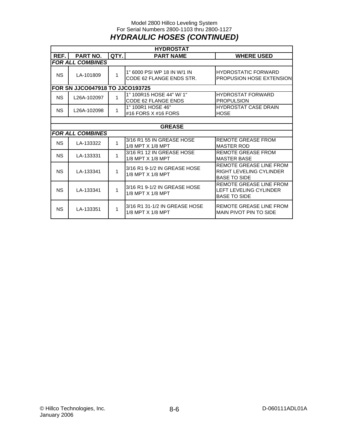#### Model 2800 Hillco Leveling System For Serial Numbers 2800-1103 thru 2800-1127 *HYDRAULIC HOSES (CONTINUED)*

|           | <b>HYDROSTAT</b>                       |      |                                                         |                                                                                 |  |  |  |
|-----------|----------------------------------------|------|---------------------------------------------------------|---------------------------------------------------------------------------------|--|--|--|
| REF.      | PART NO.                               | QTY. | <b>PART NAME</b>                                        | <b>WHERE USED</b>                                                               |  |  |  |
|           | <b>FOR ALL COMBINES</b>                |      |                                                         |                                                                                 |  |  |  |
| <b>NS</b> | LA-101809                              | 1    | 1" 6000 PSI WP 18 IN W/1 IN<br>CODE 62 FLANGE ENDS STR. | <b>HYDROSTATIC FORWARD</b><br>PROPUSION HOSE EXTENSION                          |  |  |  |
|           | <b>FOR SN JJCO047918 TO JJCO193725</b> |      |                                                         |                                                                                 |  |  |  |
| NS.       | L26A-102097                            | 1    | 1" 100R15 HOSE 44" W/ 1"<br>CODE 62 FLANGE ENDS         | <b>HYDROSTAT FORWARD</b><br><b>PROPULSION</b>                                   |  |  |  |
| <b>NS</b> | L26A-102098                            | 1    | 1" 100R1 HOSE 46"<br>#16 FORS X #16 FORS                | <b>HYDROSTAT CASE DRAIN</b><br><b>HOSE</b>                                      |  |  |  |
|           |                                        |      |                                                         |                                                                                 |  |  |  |
|           |                                        |      | <b>GREASE</b>                                           |                                                                                 |  |  |  |
|           | <b>FOR ALL COMBINES</b>                |      |                                                         |                                                                                 |  |  |  |
| <b>NS</b> | LA-133322                              | 1    | 3/16 R1 55 IN GREASE HOSE<br>1/8 MPT X 1/8 MPT          | <b>REMOTE GREASE FROM</b><br><b>MASTER ROD</b>                                  |  |  |  |
| <b>NS</b> | LA-133331                              | 1    | 3/16 R1 12 IN GREASE HOSE<br>1/8 MPT X 1/8 MPT          | <b>REMOTE GREASE FROM</b><br><b>MASTER BASE</b>                                 |  |  |  |
| <b>NS</b> | LA-133341                              | 1    | 3/16 R1 9-1/2 IN GREASE HOSE<br>1/8 MPT X 1/8 MPT       | REMOTE GREASE LINE FROM<br>RIGHT LEVELING CYLINDER<br><b>BASE TO SIDE</b>       |  |  |  |
| <b>NS</b> | LA-133341                              | 1    | 3/16 R1 9-1/2 IN GREASE HOSE<br>1/8 MPT X 1/8 MPT       | REMOTE GREASE LINE FROM<br><b>LEFT LEVELING CYLINDER</b><br><b>BASE TO SIDE</b> |  |  |  |
| <b>NS</b> | LA-133351                              | 1    | 3/16 R1 31-1/2 IN GREASE HOSE<br>1/8 MPT X 1/8 MPT      | REMOTE GREASE LINE FROM<br>MAIN PIVOT PIN TO SIDE                               |  |  |  |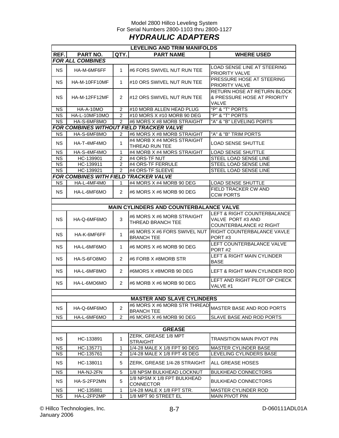#### Model 2800 Hillco Leveling System For Serial Numbers 2800-1103 thru 2800-1127 *HYDRAULIC ADAPTERS*

| LEVELING AND TRIM MANIFOLDS |                                              |                |                                                   |                                                                             |  |  |
|-----------------------------|----------------------------------------------|----------------|---------------------------------------------------|-----------------------------------------------------------------------------|--|--|
| REF.                        | <b>PART NO.</b>                              | QTY.           | <b>PART NAME</b>                                  | <b>WHERE USED</b>                                                           |  |  |
|                             | <b>FOR ALL COMBINES</b>                      |                |                                                   |                                                                             |  |  |
| NS.                         | HA-M-6MF6FF                                  | 1              | #6 FORS SWIVEL NUT RUN TEE                        | LOAD SENSE LINE AT STEERING<br>PRIORITY VALVE                               |  |  |
| NS.                         | HA-M-10FF10MF                                | 1              | #10 ORS SWIVEL NUT RUN TEE                        | PRESSURE HOSE AT STEERING<br>PRIORITY VALVE                                 |  |  |
| NS.                         | HA-M-12FF12MF                                | 2              | #12 ORS SWIVEL NUT RUN TEE                        | RETURN HOSE AT RETURN BLOCK<br>& PRESSURE HOSE AT PRIORITY<br>VALVE         |  |  |
| <b>NS</b>                   | HA-A-10MO                                    | 2              | #10 MORB ALLEN HEAD PLUG                          | "P" & "T" PORTS                                                             |  |  |
| <b>NS</b>                   | HA-L-10MF10MO                                | 2              | #10 MORS X #10 MORB 90 DEG                        | "P" & "T" PORTS                                                             |  |  |
| <b>NS</b>                   | HA-S-6MF8MO                                  | 2              | #6 MORS X #8 MORB STRAIGHT                        | "A" & "B" LEVELING PORTS                                                    |  |  |
|                             |                                              |                | FOR COMBINES WITHOUT FIELD TRACKER VALVE          |                                                                             |  |  |
| NS.                         | HA-S-6MF8MO                                  | 2              | #6 MORS X #8 MORB STRAIGHT                        | "A" & "B" TRIM PORTS                                                        |  |  |
| <b>NS</b>                   | HA-T-4MF4MO                                  | 1              | #4 MORB X #4 MORS STRAIGHT<br>THREAD RUN TEE      | LOAD SENSE SHUTTLE                                                          |  |  |
| <b>NS</b>                   | HA-S-4MF4MO                                  | 1              | #4 MORB X #4 MORS STRAIGHT                        | <b>LOAD SENSE SHUTTLE</b>                                                   |  |  |
| <b>NS</b>                   | HC-139901                                    | $\overline{2}$ | #4 ORS-TF NUT                                     | STEEL LOAD SENSE LINE                                                       |  |  |
| <b>NS</b>                   | HC-139911                                    | $\overline{2}$ | #4 ORS-TF FERRULE                                 | STEEL LOAD SENSE LINE                                                       |  |  |
| <b>NS</b>                   | HC-139921                                    | $\overline{2}$ | #4 ORS-TF SLEEVE                                  | STEEL LOAD SENSE LINE                                                       |  |  |
|                             | <b>FOR COMBINES WITH FIELD TRACKER VALVE</b> |                |                                                   |                                                                             |  |  |
| <b>NS</b>                   | HA-L-4MF4M0                                  | 1              | #4 MORS X #4 MORB 90 DEG                          | <b>LOAD SENSE SHUTTLE</b>                                                   |  |  |
| NS.                         | HA-L-6MF6MO                                  | $\overline{2}$ | #6 MORS X #6 MORB 90 DEG                          | <b>FIELD TRACKER CW AND</b><br><b>CCW PORTS</b>                             |  |  |
|                             |                                              |                |                                                   |                                                                             |  |  |
|                             |                                              |                | <b>MAIN CYLINDERS AND COUNTERBALANCE VALVE</b>    |                                                                             |  |  |
| NS.                         | HA-Q-6MF6MO                                  | 3              | #6 MORS X #6 MORB STRAIGHT<br>THREAD BRANCH TEE   | LEFT & RIGHT COUNTERBALANCE<br>VALVE PORT #3 AND<br>COUNTERBALANCE #2 RIGHT |  |  |
| <b>NS</b>                   | HA-K-6MF6FF                                  | 1              | <b>BRANCH TEE</b>                                 | #6 MORS X #6 FORS SWIVEL NUT IRIGHT COUNTERBALANCE VAVLE<br>PORT#3          |  |  |
| NS.                         | HA-L-6MF6MO                                  | 1              | #6 MORS X #6 MORB 90 DEG                          | LEFT COUNTERBALANCE VALVE<br>PORT <sub>#2</sub>                             |  |  |
| NS.                         | HA-S-6FO8MO                                  | 2              | #6 FORB X #8MORB STR                              | <b>LEFT &amp; RIGHT MAIN CYLINDER</b><br><b>BASE</b>                        |  |  |
| NS.                         | HA-L-6MF8MO                                  | 2              | #6MORS X #8MORB 90 DEG                            | LEFT & RIGHT MAIN CYLINDER ROD                                              |  |  |
| NS.                         | HA-L-6MO6MO                                  | $\overline{2}$ | #6 MORB X #6 MORB 90 DEG                          | LEFT AND RIGHT PILOT OP CHECK<br>VALVE #1                                   |  |  |
|                             |                                              |                |                                                   |                                                                             |  |  |
|                             |                                              |                | <b>MASTER AND SLAVE CYLINDERS</b>                 |                                                                             |  |  |
| <b>NS</b>                   | HA-Q-6MF6MO                                  | $\overline{2}$ | #6 MORS X #6 MORB STR THREAD<br><b>BRANCH TEE</b> | MASTER BASE AND ROD PORTS                                                   |  |  |
| <b>NS</b>                   | HA-L-6MF6MO                                  | $\overline{2}$ | #6 MORS X #6 MORB 90 DEG                          | SLAVE BASE AND ROD PORTS                                                    |  |  |
|                             |                                              |                |                                                   |                                                                             |  |  |
|                             |                                              |                | <b>GREASE</b>                                     |                                                                             |  |  |
| NS.                         | HC-133891                                    | 1              | ZERK, GREASE 1/8 MPT<br><b>STRAIGHT</b>           | TRANSITION MAIN PIVOT PIN                                                   |  |  |
| <b>NS</b>                   | HC-135771                                    | 1              | 1/4-28 MALE X 1/8 FPT 90 DEG                      | MASTER CYLINDER BASE                                                        |  |  |
| <b>NS</b>                   | HC-135761                                    | 2              | 1/4-28 MALE X 1/8 FPT 45 DEG                      | LEVELING CYLINDERS BASE                                                     |  |  |
| <b>NS</b>                   | HC-138011                                    | 5              | ZERK, GREASE 1/4-28 STRAIGHT                      | ALL GREASE HOSES                                                            |  |  |
| <b>NS</b>                   | HA-NJ-2FN                                    | 5              | 1/8 NPSM BULKHEAD LOCKNUT                         | <b>BULKHEAD CONNECTORS</b>                                                  |  |  |
| <b>NS</b>                   | HA-S-2FP2MN                                  | 5              | 1/8 NPSM X 1/8 FPT BULKHEAD<br><b>CONNECTOR</b>   | <b>BULKHEAD CONNECTORS</b>                                                  |  |  |
| <b>NS</b>                   | HC-135881                                    | 1              | 1/4-28 MALE X 1/8 FPT STR.                        | <b>MASTER CYLINDER ROD</b>                                                  |  |  |
| <b>NS</b>                   | HA-L-2FP2MP                                  | 1              | 1/8 MPT 90 STREET EL                              | <b>MAIN PIVOT PIN</b>                                                       |  |  |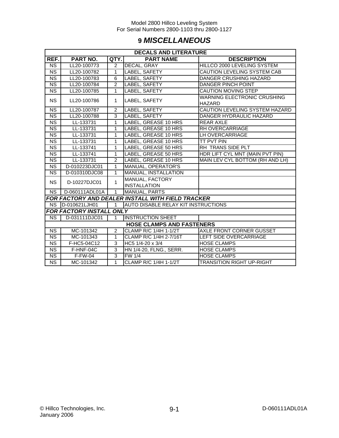## **9** *MISCELLANEOUS*

|                        | <b>DECALS AND LITERATURE</b>     |                |                                                   |                                    |  |  |
|------------------------|----------------------------------|----------------|---------------------------------------------------|------------------------------------|--|--|
| REF.                   | PART NO.                         | QTY.           | <b>PART NAME</b>                                  | <b>DESCRIPTION</b>                 |  |  |
| <b>NS</b>              | LL20-100773                      | 2              | DECAL, GRAY                                       | HILLCO 2000 LEVELING SYSTEM        |  |  |
| <b>NS</b>              | LL20-100782                      | 1              | LABEL, SAFETY                                     | CAUTION LEVELING SYSTEM CAB        |  |  |
| <b>NS</b>              | LL20-100783                      | 6              | LABEL, SAFETY                                     | <b>DANGER CRUSHING HAZARD</b>      |  |  |
| <b>NS</b>              | LL20-100784                      | 2              | LABEL, SAFETY                                     | DANGER PINCH POINT                 |  |  |
| <b>NS</b>              | LL20-100785                      | 1              | LABEL, SAFETY                                     | CAUTION MOVING STEP                |  |  |
| <b>NS</b>              | LL20-100786                      | $\mathbf{1}$   | LABEL, SAFETY                                     | <b>WARNING ELECTRONIC CRUSHING</b> |  |  |
|                        |                                  |                |                                                   | <b>HAZARD</b>                      |  |  |
| <b>NS</b>              | LL20-100787                      | $\overline{2}$ | LABEL, SAFETY                                     | CAUTION LEVELING SYSTEM HAZARD     |  |  |
| <b>NS</b>              | LL20-100788                      | 3              | LABEL, SAFETY                                     | DANGER HYDRAULIC HAZARD            |  |  |
| <b>NS</b>              | LL-133731                        | 1              | LABEL, GREASE 10 HRS                              | <b>REAR AXLE</b>                   |  |  |
| <b>NS</b>              | LL-133731                        | 1              | LABEL, GREASE 10 HRS                              | RH OVERCARRIAGE                    |  |  |
| <b>NS</b>              | LL-133731                        | 1              | LABEL, GREASE 10 HRS                              | LH OVERCARRIAGE                    |  |  |
| $\overline{\text{NS}}$ | LL-133731                        | 1              | LABEL, GREASE 10 HRS                              | TT PVT PIN                         |  |  |
| <b>NS</b>              | LL-133741                        | 1              | LABEL, GREASE 50 HRS                              | RH TRANS SIDE PLT                  |  |  |
| $\overline{\text{NS}}$ | LL-133741                        | 1              | LABEL, GREASE 50 HRS                              | HDR LIFT CYL MNT (MAIN PVT PIN)    |  |  |
| $\overline{\text{NS}}$ | LL-133731                        | $\overline{2}$ | LABEL, GREASE 10 HRS                              | MAIN LEV CYL BOTTOM (RH AND LH)    |  |  |
| NS                     | D-010223DJC01                    | 1              | MANUAL, OPERATOR'S                                |                                    |  |  |
| $\overline{\text{NS}}$ | D-010310DJC08                    | $\mathbf{1}$   | MANUAL, INSTALLATION                              |                                    |  |  |
| <b>NS</b>              | D-10227DJC01                     | 1              | MANUAL, FACTORY                                   |                                    |  |  |
|                        |                                  |                | <b>INSTALLATION</b>                               |                                    |  |  |
| <b>NS</b>              | D-060111ADL01A                   | $\mathbf{1}$   | MANUAL, PARTS                                     |                                    |  |  |
|                        |                                  |                | FOR FACTORY AND DEALER INSTALL WITH FIELD TRACKER |                                    |  |  |
| <b>NS</b>              | D-010621LJH01                    | $\mathbf{1}$   | <b>AUTO DISABLE RELAY KIT INSTRUCTIONS</b>        |                                    |  |  |
|                        | FOR FACTORY INSTALL ONLY         |                |                                                   |                                    |  |  |
| <b>NS</b>              | D-031111DJC01                    | 1              | <b>INSTRUCTION SHEET</b>                          |                                    |  |  |
|                        | <b>HOSE CLAMPS AND FASTENERS</b> |                |                                                   |                                    |  |  |
| N <sub>S</sub>         | MC-101342                        | $\overline{2}$ | CLAMP R/C 1/4H 1-1/2T                             | AXLE FRONT CORNER GUSSET           |  |  |
| <b>NS</b>              | MC-101343                        | 1              | CLAMP R/C 1/4H 2-7/16T                            | LEFT SIDE OVERCARRIAGE             |  |  |
| <b>NS</b>              | F-HC5-04C12                      | 3              | HC5 1/4-20 x 3/4                                  | <b>HOSE CLAMPS</b>                 |  |  |
| <b>NS</b>              | F-HNF-04C                        | 3              | HN 1/4-20, FLNG., SERR.                           | <b>HOSE CLAMPS</b>                 |  |  |
| $\overline{\text{NS}}$ | $F-FW-04$                        | $\overline{3}$ | <b>FW 1/4</b>                                     | <b>HOSE CLAMPS</b>                 |  |  |
| <b>NS</b>              | MC-101342                        | $\overline{1}$ | CLAMP R/C 1/4H 1-1/2T                             | <b>TRANSITION RIGHT UP-RIGHT</b>   |  |  |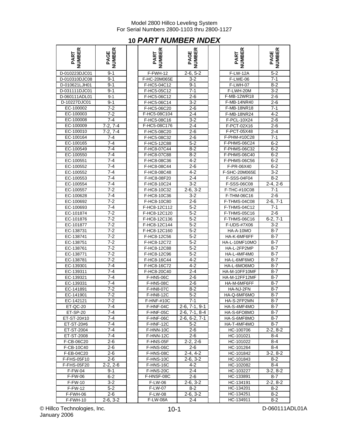## **10** *PART NUMBER INDEX*

| PART<br>JMBER  | ER<br>PAGE<br>UMBEI    |
|----------------|------------------------|
| D-010223DJC01  | $9 - 1$                |
| D-010310DJC08  | $9 - 1$                |
| D-010621LJH01  | $9 - 1$                |
| D-031111DJC01  | 9-1                    |
| D-060111ADL01  | $9 - 1$                |
| D-10227DJC01   | $9 - 1$                |
| EC-100002      | $7-2$                  |
| EC-100003      | $7-2$                  |
| EC-100008      |                        |
| EC-100009      | $\frac{7-4}{7-2, 7-4}$ |
| EC-100010      | $7-2, 7-4$             |
|                |                        |
| EC-100164      | $7 - 4$                |
| EC-100165      | $7 - 4$                |
| EC-100549      | 7-4                    |
| EC-100550      | $7 - 4$                |
| EC-100551      | $7 - 4$                |
| EC-100552      | $7 - 4$                |
| EC-100552      | $7 - 4$                |
| EC-100553      | $7-4$                  |
| EC-100554      | $7 - 4$                |
| EC-100557      | $7-2$                  |
| EC-100628      | $7 - 4$                |
| EC-100692      | $\frac{1}{7-2}$        |
|                |                        |
| EC-100693      | $7 - 4$                |
| $EC-101874$    | $7 - 2$                |
| EC-101876      | 7-2<br>7-2             |
| EC-101877      |                        |
| EC-138731      | $7 - 2$                |
| EC-138741      | $7-2$                  |
| EC-138751      | $7 - 2$                |
| EC-138761      | $7-2$                  |
| EC-138771      | $7 - 2$                |
| EC-138781      | $7 - 2$                |
| EC-139301      | $7 - 4$                |
| EC-139311      | $7 - 4$                |
| EC-139321      | $7 - 4$                |
|                | $7 - 4$                |
| EC-139331      |                        |
| EC-141891      | $7 - 2$                |
| EC-141901      | 7-2                    |
| EC-142121      | $7-2$                  |
| ET-QC-20       | $7 - 4$                |
| ET-SP-20       | 7-4                    |
| ET-ST-20#10    | 7-4                    |
| ET-ST-20#6     | 7-4                    |
| ET-ST-2004     | $7 - 4$                |
| ET-ST-2008     | 7-4                    |
| F-CB-06C20     | $\overline{2}$ -6      |
| F-CB-10C40     | $2 - 6$                |
| F-EB-04C20     | 2-6                    |
| F-FHS-05F10    | 2-6                    |
| F-FHS-05F20    | $-2, \, 2-6$<br>2.     |
|                | $9 - 1$                |
| F-FW-04        |                        |
| F-FW-06        | $6 - 2$                |
| <b>F-FW-10</b> | $3-2$                  |
| F-FW-12        | 5-2                    |
| F-FWH-06       | 2-6                    |
| F-FWH-10       | $2-6, 3-2$             |

| NUMBER<br>PART            | <b>PAGE<br/>NUMBER</b> | NUMBER<br>PART             | <b>NUMBER</b><br>PAGE | <b>NUMBER</b><br>PART        | <b>PAGE<br/>NUMBER</b> |
|---------------------------|------------------------|----------------------------|-----------------------|------------------------------|------------------------|
| D-010223DJC01             | $9 - 1$                | F-FWH-12                   | $2-6, 5-2$            | <b>F-LW-12A</b>              | $5 - 2$                |
| D-010310DJC08             | $9 - 1$                | F-HC-20M065E               | $3 - 2$               | F-LWE-06                     | $7 - 1$                |
| D-010621LJH01             | $9 - 1$                | F-HC5-04C12                | $9 - 1$               | <b>F-LWH-07</b>              | $8 - 2$                |
| D-031111DJC01             | $9 - 1$                | F-HC5-05C12                | $7 - 1$               | F-LWH-20M                    | $3 - 2$                |
| D-060111ADL01             | $9 - 1$                | F-HC5-06C12                | $2 - 6$               | F-MB-12WR18                  | $2 - 6$                |
| D-10227DJC01              | $9 - 1$                | F-HC5-06C14                | $3 - 2$               | F-MB-14NR40                  | $2 - 6$                |
| EC-100002                 | $7 - 2$                | F-HC5-06C20                | $2 - 6$               | <b>F-MB-18NR18</b>           | $7 - 1$                |
| EC-100003                 | $7-2$                  | F-HC5-08C104               | $2 - 4$               | F-MB-18NR24                  | $4 - 2$                |
| EC-100008                 | $7 - 4$                | F-HC5-08C16                | $3 - 2$               | F-PCL-10X24                  | $2 - 6$                |
| EC-100009                 | $7-2, 7-4$             | F-HC5-08C176               | $2 - 4$               | F-PCT-02X16                  | $2 - 6$                |
| EC-100010                 | $7-2, 7-4$             | F-HC5-08C20                | $2 - 6$               | F-PCT-05X48                  | $2 - 4$                |
| EC-100164                 | $7 - 4$                | F-HC5-08C32                | $2 - 6$               | F-PHM-#10C28                 | $7 - 1$                |
| EC-100165                 | $7 - 4$                | F-HC5-12C88                | $5 - 2$               | F-PHMS-06C24                 | $6 - 2$                |
| EC-100549                 | 7-4                    | F-HC8-07C44                | $8 - 2$               | F-PHMS-06C32                 | $6 - 2$                |
| EC-100550                 | 7-4                    | F-HC8-07C88                | $8 - 2$               | F-PHMS-06C40                 | $6 - 2$                |
| EC-100551                 | 7-4                    | F-HC8-08C36                | $4 - 2$               | F-PHMS-06C56                 | $6 - 2$                |
| EC-100552                 | 7-4                    | F-HC8-08C44                | $2 - 6$               | F-PR-06X40                   | $6 - 2$                |
| EC-100552                 | 7-4                    | F-HC8-08C48                | $4 - 2$               | F-SHC-20M065E                | $3 - 2$                |
| EC-100553                 | $7 - 4$                | F-HC8-08F20                | 2-4                   | F-SSS-04F04                  | $8 - 2$                |
| EC-100554                 | 7-4                    | F-HC8-10C24                | $3 - 2$               | F-SSS-06C08                  | $2-4, 2-6$             |
| EC-100557                 | $7 - 2$                | F-HC8-10C32                | $2-6, 3-2$            | F-THC-#10C08                 | 7-1                    |
| EC-100628                 | $7 - 4$                | F-HC8-10C36                | $3 - 2$               | F-THM-06C16                  | $2 - 6$                |
| EC-100692                 | $7 - 2$                | F-HC8-10C80                | $2 - 6$               | F-THMS-04C08                 | $2-6, 7-1$             |
| EC-100693                 | $7 - 4$                | F-HC8-12C112               | $5 - 2$               | <b>F-THMS-04C12</b>          | $7 - 1$                |
| EC-101874                 | $7 - 2$                | F-HC8-12C120               | $5 - 2$               | F-THMS-05C16                 | $2 - 6$                |
| EC-101876                 | $7 - 2$                | F-HC8-12C136               | $5 - 2$               | F-THMS-06C16                 | $6-2, 7-1$             |
| EC-101877                 | $7 - 2$                | F-HC8-12C144               | $5 - 2$               | F-UDS-#7X06                  | $3 - 2$                |
| EC-138731                 | $7 - 2$                | F-HC8-12C160               | $5 - 2$               | HA-A-10MO                    | $8 - 7$                |
| EC-138741                 | $7 - 2$                | F-HC8-12C56                | $5 - 2$               | HA-K-6MF6FF                  | 8-7                    |
| EC-138751<br>EC-138761    | 7-2<br>$7-2$           | F-HC8-12C72                | $5 - 2$               | HA-L-10MF10MO<br>HA-L-2FP2MP | 8-7<br>$8 - 7$         |
|                           | $7 - 2$                | F-HC8-12C88                | $5 - 2$<br>$5 - 2$    |                              | $8 - 7$                |
| EC-138771<br>EC-138781    | $7-2$                  | F-HC8-12C96<br>F-HC8-16C44 | $4 - 2$               | HA-L-4MF4M0<br>HA-L-6MF6MO   | $8 - 7$                |
| EC-139301                 | 7-4                    | F-HC8-16C72                | $4 - 2$               | HA-L-6MO6MO                  | 8-7                    |
| EC-139311                 | $7 - 4$                | F-HC8-20C40                | $2 - 4$               | HA-M-10FF10MF                | $8 - 7$                |
| EC-139321                 | $7 - 4$                | <b>F-HN5-06C</b>           | $2 - 6$               | HA-M-12FF12MF                | $8 - 7$                |
| EC-139331                 | 7-4                    | F-HN5-08C                  | $2 - 6$               | HA-M-6MF6FF                  | $8 - 7$                |
| EC-141891                 | $7 - 2$                | F-HN8-07C                  | $8 - 2$               | HA-NJ-2FN                    | 8-7                    |
| EC-141901                 | $7 - 2$                | <b>F-HN8-12C</b>           | $5-2$                 | HA-Q-6MF6MO                  | $8 - 7$                |
| EC-142121                 | 7-2                    | F-HNF-#10C                 | 7-1                   | HA-S-2FP2MN                  | 8-7                    |
| ET-QC-20                  | 7-4                    | F-HNF-04C                  | $2-6, 7-1, 9-1$       | HA-S-4MF4MO                  | 8-7                    |
| ET-SP-20                  | 7-4                    | F-HNF-05C                  | $2-6, 7-1, 8-4$       | HA-S-6FO8MO                  | 8-7                    |
| ET-ST-20#10               | 7-4                    | F-HNF-06C                  | $2-6, 6-2, 7-1$       | HA-S-6MF8MO                  | $8 - 7$                |
| ET-ST-20#6                | 7-4                    | F-HNF-12C                  | 5-2                   | HA-T-4MF4MO                  | 8-7                    |
| ET-ST-2004                | 7-4                    | F-HNN-10C                  | $2 - 6$               | HC-100706                    | $2-2, 8-2$             |
| ET-ST-2008                | 7-4                    | F-HNN-12C                  | 2-6                   | HC-101021                    | 8-4                    |
| F-CB-06C20                | 2-6                    | F-HNS-05F                  | $2-2, 2-6$            | HC-101022                    | 8-4                    |
| F-CB-10C40                | 2-6                    | F-HNS-06C                  | 2-6                   | HC-101264                    | 8-4                    |
| F-EB-04C20                | 2-6                    | F-HNS-08C                  | $2-4, 4-2$            | HC-101842                    | $3-2, 8-2$             |
| F-FHS-05F10               | 2-6                    | F-HNS-10C                  | $2-6, 3-2$            | HC-101843                    | 8-2                    |
| F-FHS-05F20               | $2-2, 2-6$             | F-HNS-16C                  | 4-2                   | HC-102082                    | 8-4                    |
| <b>F-FW-04</b><br>F-FW-06 | 9-1<br>$6 - 2$         | F-HNS-20C<br>F-HNSF-08C    | 2-4<br>$2 - 6$        | HC-103227<br>HC-133891       | $3-2, 8-2$             |
| $\overline{F}$ -FW-10     | 3-2                    | F-LW-06                    | $2-6, 3-2$            |                              | 8-7<br>$2-2, 8-2$      |
| <b>F-FW-12</b>            | $5 - 2$                | <b>F-LW-07</b>             | $8 - 2$               | HC-134191<br>HC-134201       | 8-2                    |
| F-FWH-06                  | 2-6                    | <b>F-LW-08</b>             | $2-6, 3-2$            | HC-134251                    | $8-2$                  |
| F-FWH-10                  | $2-6, 3-2$             | F-LW-08A                   | 2-4                   | HC-134911                    | $8 - 2$                |
|                           |                        |                            |                       |                              |                        |

| ≃<br>щ<br>PART         | ≃<br>ш<br>ш<br>PAGI    |
|------------------------|------------------------|
| <b>F-LW-12A</b>        | $5 - 2$                |
| F-LWE-06               | $7 - 1$                |
| F-LWH-07               | 8-2                    |
| F-LWH-20M              | 3-2                    |
| F-MB-12WR18            | 2-6                    |
| F-MB-14NR40            | $2-6$                  |
|                        |                        |
| F-MB-18NR18            | 7-1                    |
| F-MB-18NR24            | $4 - 2$                |
| F-PCL-10X24            | $2 - 6$                |
| F-PCT-02X16            | $2 - 6$                |
| F-PCT-05X48            | 2-4                    |
| F-PHM-#10C28           | 7-1                    |
| F-PHMS-06C24           | 6-2                    |
| F-PHMS-06C32           | $6 - 2$                |
| F-PHMS-06C40           | $6 - 2$                |
| F-PHMS-06C56           | $6-2$                  |
| F-PR-06X40             | 6-2                    |
| F-SHC-20M065E          | 3-2                    |
| F-SSS-04F04            | $8-2$                  |
| F-SSS-06C08            | $2-4, 2-6$             |
| F-THC-#10C08           | 7-1                    |
| F-THM-06C16            | $2-6$                  |
|                        |                        |
| F-THMS-04C08           | $\overline{2}$ -6, 7-1 |
| <u>F-THMS-04C12</u>    | 7-1                    |
| F-THMS-05C16           | 2-6                    |
| F-THMS-06C16           | $6-2, 7-1$             |
| F-UDS-#7X06            | $3 - 2$                |
| HA-A-10MO              | $8-7$                  |
| HA-K-6MF6FF            | 8-7                    |
| HA-L-10MF10MO          | 8-7                    |
| HA-L-2FP2MP            | 8-7                    |
| HA-L-4MF4M0            | $8-7$                  |
| HA-L-6MF6MO            | 8-7                    |
| HA-L-6MO6MO            | 8-7                    |
| HA-M-10FF10MF          | 8-7                    |
| HA-M-12FF12MF          | 8-7                    |
| HA-M-6MF6FF            | 8-7                    |
| HA-NJ-2FN              | 8-7                    |
| HA-Q-6MF6MO            | $8-7$                  |
| HA-S-2FP2MN            | 8-7                    |
|                        | $\overline{8}$ -7      |
| HA-S-4MF4MO            |                        |
| HA-S-6FO8MO            | 8-7                    |
| HA-S-6MF8MO            | 8-7                    |
| HA-T-4MF4MO            | 8-7                    |
| HC-100706              | $2-2, 8-2$             |
| HC-101021              | $8 - 4$                |
|                        |                        |
| HC-101022              | $8 - 4$                |
| HC-101264              | $8 - 4$                |
| HC-101842              | $3-2, 8-2$             |
| HC-101843              | $8 - 2$                |
| HC-102082              | 8-4                    |
| HC-103227              | $3-2, 8-2$             |
|                        |                        |
| HC-133891              | $8 - 7$                |
| HC-134191              | $2-2, 8-2$             |
| HC-134201<br>HC-134251 | $8-2$<br>$8 - 2$       |

© Hillco Technologies, Inc. D-060111ADL01A January 2006